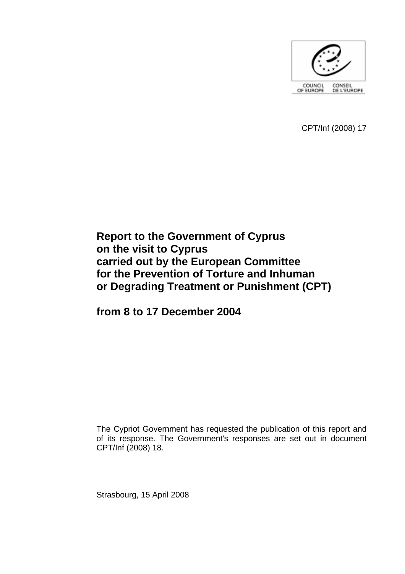

CPT/Inf (2008) 17

# **Report to the Government of Cyprus on the visit to Cyprus carried out by the European Committee for the Prevention of Torture and Inhuman or Degrading Treatment or Punishment (CPT)**

**from 8 to 17 December 2004** 

The Cypriot Government has requested the publication of this report and of its response. The Government's responses are set out in document CPT/Inf (2008) 18.

Strasbourg, 15 April 2008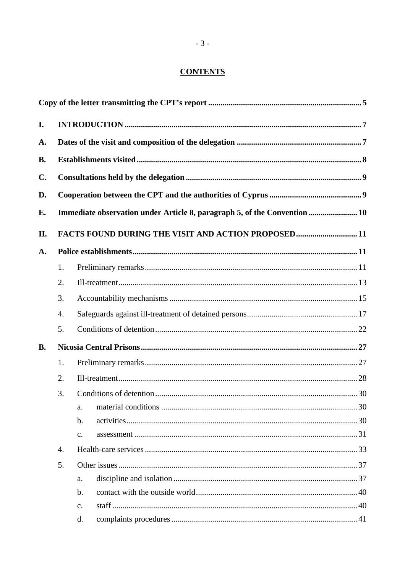# **CONTENTS**

| I.        |                  |                                                                           |  |  |
|-----------|------------------|---------------------------------------------------------------------------|--|--|
| A.        |                  |                                                                           |  |  |
| <b>B.</b> |                  |                                                                           |  |  |
| C.        |                  |                                                                           |  |  |
| D.        |                  |                                                                           |  |  |
| E.        |                  | Immediate observation under Article 8, paragraph 5, of the Convention  10 |  |  |
| II.       |                  | FACTS FOUND DURING THE VISIT AND ACTION PROPOSED11                        |  |  |
| A.        |                  |                                                                           |  |  |
|           | 1.               |                                                                           |  |  |
|           | 2.               |                                                                           |  |  |
|           | 3.               |                                                                           |  |  |
|           | 4.               |                                                                           |  |  |
|           | 5.               |                                                                           |  |  |
| <b>B.</b> |                  |                                                                           |  |  |
|           | 1.               |                                                                           |  |  |
|           | 2.               |                                                                           |  |  |
|           | 3.               |                                                                           |  |  |
|           |                  | a.                                                                        |  |  |
|           |                  | $\mathbf{b}$ .                                                            |  |  |
|           |                  | $\mathbf{C}$ .                                                            |  |  |
|           | $\overline{4}$ . |                                                                           |  |  |
|           | 5.               |                                                                           |  |  |
|           |                  | a.                                                                        |  |  |
|           |                  | $\mathbf{b}$ .                                                            |  |  |
|           |                  | c.                                                                        |  |  |
|           |                  | d.                                                                        |  |  |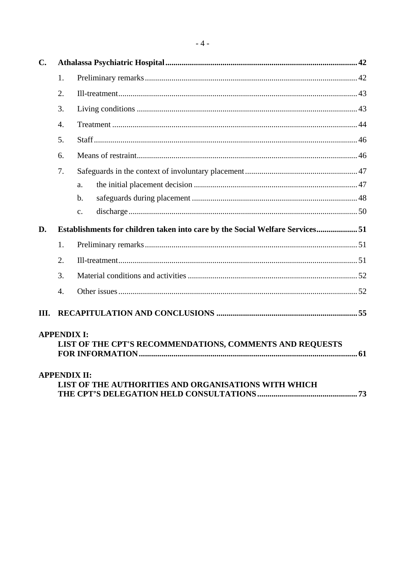| $C_{\bullet}$ |                     |                                                                              |  |
|---------------|---------------------|------------------------------------------------------------------------------|--|
|               | 1.                  |                                                                              |  |
|               | 2.                  |                                                                              |  |
|               | 3.                  |                                                                              |  |
|               | $\overline{4}$ .    |                                                                              |  |
|               | 5.                  |                                                                              |  |
|               | 6.                  |                                                                              |  |
|               | 7.                  |                                                                              |  |
|               |                     | a.                                                                           |  |
|               |                     | b.                                                                           |  |
|               |                     | $\mathbf{c}$ .                                                               |  |
| D.            |                     | Establishments for children taken into care by the Social Welfare Services51 |  |
|               | 1.                  |                                                                              |  |
|               | 2.                  |                                                                              |  |
|               | 3.                  |                                                                              |  |
|               | $\overline{4}$ .    |                                                                              |  |
| Ш.            |                     |                                                                              |  |
|               | <b>APPENDIX I:</b>  | LIST OF THE CPT'S RECOMMENDATIONS, COMMENTS AND REQUESTS                     |  |
|               | <b>APPENDIX II:</b> | LIST OF THE AUTHORITIES AND ORGANISATIONS WITH WHICH                         |  |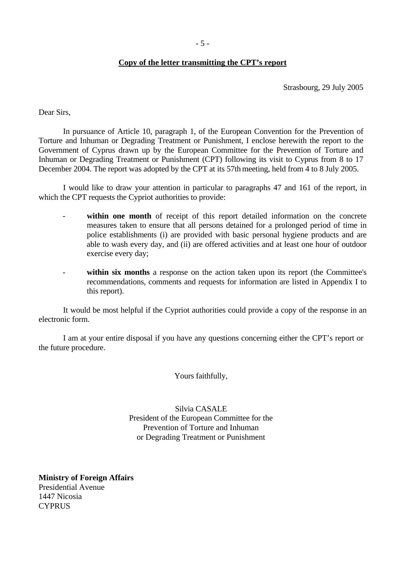#### **Copy of the letter transmitting the CPT's report**

Strasbourg, 29 July 2005

<span id="page-4-0"></span>Dear Sirs,

 In pursuance of Article 10, paragraph 1, of the European Convention for the Prevention of Torture and Inhuman or Degrading Treatment or Punishment, I enclose herewith the report to the Government of Cyprus drawn up by the European Committee for the Prevention of Torture and Inhuman or Degrading Treatment or Punishment (CPT) following its visit to Cyprus from 8 to 17 December 2004. The report was adopted by the CPT at its 57th meeting, held from 4 to 8 July 2005.

 I would like to draw your attention in particular to paragraphs 47 and 161 of the report, in which the CPT requests the Cypriot authorities to provide:

- within one month of receipt of this report detailed information on the concrete measures taken to ensure that all persons detained for a prolonged period of time in police establishments (i) are provided with basic personal hygiene products and are able to wash every day, and (ii) are offered activities and at least one hour of outdoor exercise every day;
- **within six months** a response on the action taken upon its report (the Committee's recommendations, comments and requests for information are listed in Appendix I to this report).

 It would be most helpful if the Cypriot authorities could provide a copy of the response in an electronic form.

 I am at your entire disposal if you have any questions concerning either the CPT's report or the future procedure.

Yours faithfully,

Silvia CASALE President of the European Committee for the Prevention of Torture and Inhuman or Degrading Treatment or Punishment

**Ministry of Foreign Affairs**  Presidential Avenue 1447 Nicosia **CYPRUS**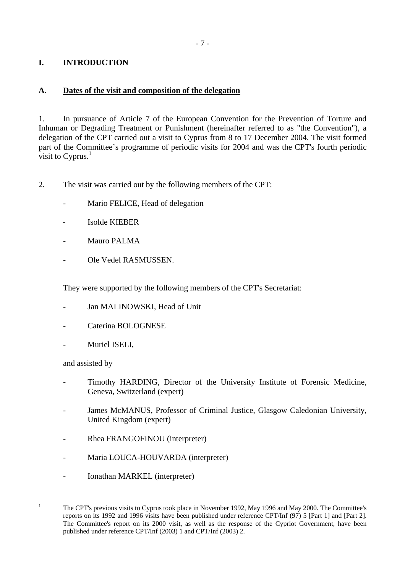# <span id="page-6-0"></span>**I. INTRODUCTION**

## **A. Dates of the visit and composition of the delegation**

1. In pursuance of Article 7 of the European Convention for the Prevention of Torture and Inhuman or Degrading Treatment or Punishment (hereinafter referred to as "the Convention"), a delegation of the CPT carried out a visit to Cyprus from 8 to 17 December 2004. The visit formed part of the Committee's programme of periodic visits for 2004 and was the CPT's fourth periodic visit to Cyprus. $<sup>1</sup>$ </sup>

2. The visit was carried out by the following members of the CPT:

- Mario FELICE, Head of delegation
- Isolde KIEBER
- Mauro PALMA
- Ole Vedel RASMUSSEN.

They were supported by the following members of the CPT's Secretariat:

- Jan MALINOWSKI, Head of Unit
- Caterina BOLOGNESE
- Muriel ISELI.

and assisted by

 $\frac{1}{1}$ 

- Timothy HARDING, Director of the University Institute of Forensic Medicine, Geneva, Switzerland (expert)
- James McMANUS, Professor of Criminal Justice, Glasgow Caledonian University, United Kingdom (expert)
- Rhea FRANGOFINOU (interpreter)
- Maria LOUCA-HOUVARDA (interpreter)
- Ionathan MARKEL (interpreter)

<span id="page-6-1"></span>The CPT's previous visits to Cyprus took place in November 1992, May 1996 and May 2000. The Committee's reports on its 1992 and 1996 visits have been published under reference CPT/Inf (97) 5 [Part 1] and [Part 2]. The Committee's report on its 2000 visit, as well as the response of the Cypriot Government, have been published under reference CPT/Inf (2003) 1 and CPT/Inf (2003) 2.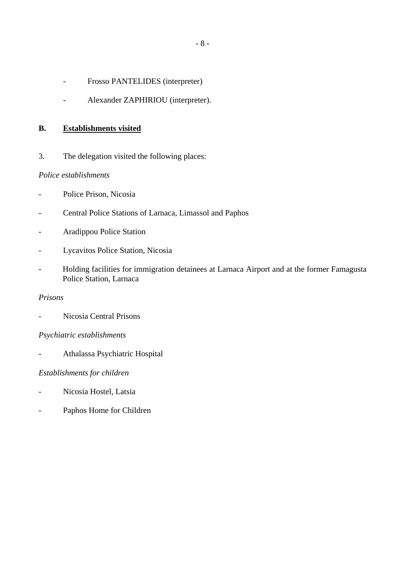- <span id="page-7-0"></span>- Frosso PANTELIDES (interpreter)
- Alexander ZAPHIRIOU (interpreter).

#### **B. Establishments visited**

3. The delegation visited the following places:

#### *Police establishments*

- Police Prison, Nicosia
- Central Police Stations of Larnaca, Limassol and Paphos
- Aradippou Police Station
- Lycavitos Police Station, Nicosia
- Holding facilities for immigration detainees at Larnaca Airport and at the former Famagusta Police Station, Larnaca

### *Prisons*

- Nicosia Central Prisons

#### *Psychiatric establishments*

- Athalassa Psychiatric Hospital

#### *Establishments for children*

- Nicosia Hostel, Latsia
- Paphos Home for Children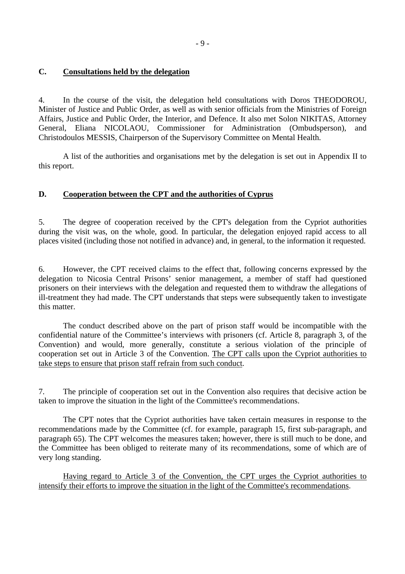#### <span id="page-8-0"></span>**C. Consultations held by the delegation**

4. In the course of the visit, the delegation held consultations with Doros THEODOROU, Minister of Justice and Public Order, as well as with senior officials from the Ministries of Foreign Affairs, Justice and Public Order, the Interior, and Defence. It also met Solon NIKITAS, Attorney General, Eliana NICOLAOU, Commissioner for Administration (Ombudsperson), and Christodoulos MESSIS, Chairperson of the Supervisory Committee on Mental Health.

 A list of the authorities and organisations met by the delegation is set out in Appendix II to this report.

#### **D. Cooperation between the CPT and the authorities of Cyprus**

5. The degree of cooperation received by the CPT's delegation from the Cypriot authorities during the visit was, on the whole, good. In particular, the delegation enjoyed rapid access to all places visited (including those not notified in advance) and, in general, to the information it requested.

6. However, the CPT received claims to the effect that, following concerns expressed by the delegation to Nicosia Central Prisons' senior management, a member of staff had questioned prisoners on their interviews with the delegation and requested them to withdraw the allegations of ill-treatment they had made. The CPT understands that steps were subsequently taken to investigate this matter.

 The conduct described above on the part of prison staff would be incompatible with the confidential nature of the Committee's interviews with prisoners (cf. Article 8, paragraph 3, of the Convention) and would, more generally, constitute a serious violation of the principle of cooperation set out in Article 3 of the Convention. The CPT calls upon the Cypriot authorities to take steps to ensure that prison staff refrain from such conduct.

7. The principle of cooperation set out in the Convention also requires that decisive action be taken to improve the situation in the light of the Committee's recommendations.

 The CPT notes that the Cypriot authorities have taken certain measures in response to the recommendations made by the Committee (cf. for example, paragraph 15, first sub-paragraph, and paragraph 65). The CPT welcomes the measures taken; however, there is still much to be done, and the Committee has been obliged to reiterate many of its recommendations, some of which are of very long standing.

Having regard to Article 3 of the Convention, the CPT urges the Cypriot authorities to intensify their efforts to improve the situation in the light of the Committee's recommendations.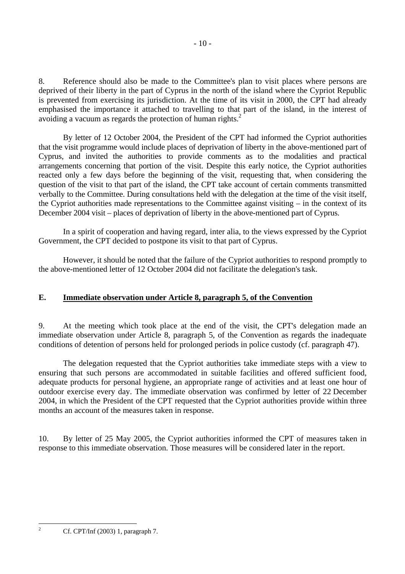<span id="page-9-0"></span>8. Reference should also be made to the Committee's plan to visit places where persons are deprived of their liberty in the part of Cyprus in the north of the island where the Cypriot Republic is prevented from exercising its jurisdiction. At the time of its visit in 2000, the CPT had already emphasised the importance it attached to travelling to that part of the island, in the interest of avoiding a vacuum as regards the protection of human rights.<sup>2</sup>

 By letter of 12 October 2004, the President of the CPT had informed the Cypriot authorities that the visit programme would include places of deprivation of liberty in the above-mentioned part of Cyprus, and invited the authorities to provide comments as to the modalities and practical arrangements concerning that portion of the visit. Despite this early notice, the Cypriot authorities reacted only a few days before the beginning of the visit, requesting that, when considering the question of the visit to that part of the island, the CPT take account of certain comments transmitted verbally to the Committee. During consultations held with the delegation at the time of the visit itself, the Cypriot authorities made representations to the Committee against visiting – in the context of its December 2004 visit – places of deprivation of liberty in the above-mentioned part of Cyprus.

 In a spirit of cooperation and having regard, inter alia, to the views expressed by the Cypriot Government, the CPT decided to postpone its visit to that part of Cyprus.

 However, it should be noted that the failure of the Cypriot authorities to respond promptly to the above-mentioned letter of 12 October 2004 did not facilitate the delegation's task.

### **E. Immediate observation under Article 8, paragraph 5, of the Convention**

9. At the meeting which took place at the end of the visit, the CPT's delegation made an immediate observation under Article 8, paragraph 5, of the Convention as regards the inadequate conditions of detention of persons held for prolonged periods in police custody (cf. paragraph 47).

 The delegation requested that the Cypriot authorities take immediate steps with a view to ensuring that such persons are accommodated in suitable facilities and offered sufficient food, adequate products for personal hygiene, an appropriate range of activities and at least one hour of outdoor exercise every day. The immediate observation was confirmed by letter of 22 December 2004, in which the President of the CPT requested that the Cypriot authorities provide within three months an account of the measures taken in response.

10. By letter of 25 May 2005, the Cypriot authorities informed the CPT of measures taken in response to this immediate observation. Those measures will be considered later in the report.

<span id="page-9-1"></span> $\frac{1}{2}$ 

Cf. CPT/Inf (2003) 1, paragraph 7.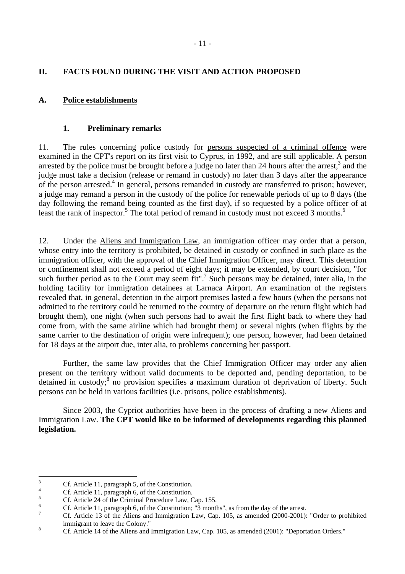- 11 -

# <span id="page-10-0"></span>**II. FACTS FOUND DURING THE VISIT AND ACTION PROPOSED**

# **A. Police establishments**

# **1. Preliminary remarks**

11. The rules concerning police custody for persons suspected of a criminal offence were examined in the CPT's report on its first visit to Cyprus, in 1992, and are still applicable. A person arrested by the police must be brought before a judge no later than 24 hours after the arrest, $3$  and the judge must take a decision (release or remand in custody) no later than 3 days after the appearance of the person arrested.<sup>4</sup> In general, persons remanded in custody are transferred to prison; however, a judge may remand a person in the custody of the police for renewable periods of up to 8 days (the day following the remand being counted as the first day), if so requested by a police officer of at least the rank of inspector.<sup>[5](#page-10-3)</sup> The total period of remand in custody must not exceed 3 months.<sup>6</sup>

12. Under the Aliens and Immigration Law, an immigration officer may order that a person, whose entry into the territory is prohibited, be detained in custody or confined in such place as the immigration officer, with the approval of the Chief Immigration Officer, may direct. This detention or confinement shall not exceed a period of eight days; it may be extended, by court decision, "for such further period as to the Court may seem fit".<sup>7</sup> Such persons may be detained, inter alia, in the holding facility for immigration detainees at Larnaca Airport. An examination of the registers revealed that, in general, detention in the airport premises lasted a few hours (when the persons not admitted to the territory could be returned to the country of departure on the return flight which had brought them), one night (when such persons had to await the first flight back to where they had come from, with the same airline which had brought them) or several nights (when flights by the same carrier to the destination of origin were infrequent); one person, however, had been detained for 18 days at the airport due, inter alia, to problems concerning her passport.

 Further, the same law provides that the Chief Immigration Officer may order any alien present on the territory without valid documents to be deported and, pending deportation, to be detained in custody;<sup>[8](#page-10-6)</sup> no provision specifies a maximum duration of deprivation of liberty. Such persons can be held in various facilities (i.e. prisons, police establishments).

 Since 2003, the Cypriot authorities have been in the process of drafting a new Aliens and Immigration Law. **The CPT would like to be informed of developments regarding this planned legislation.**

<sup>&</sup>lt;sup>2</sup><br>3 Cf. Article 11, paragraph 5, of the Constitution.

<span id="page-10-2"></span><span id="page-10-1"></span><sup>4</sup> Cf. Article 11, paragraph 6, of the Constitution.

<span id="page-10-3"></span><sup>5</sup> Cf. Article 24 of the Criminal Procedure Law, Cap. 155.

<span id="page-10-4"></span><sup>6</sup> Cf. Article 11, paragraph 6, of the Constitution; "3 months", as from the day of the arrest.

<span id="page-10-5"></span><sup>7</sup> Cf. Article 13 of the Aliens and Immigration Law, Cap. 105, as amended (2000-2001): "Order to prohibited  $\sum_{\text{off}\text{A critical,}14 \text{ of the Alimes and}}$ 

<span id="page-10-6"></span>Cf. Article 14 of the Aliens and Immigration Law, Cap. 105, as amended (2001): "Deportation Orders."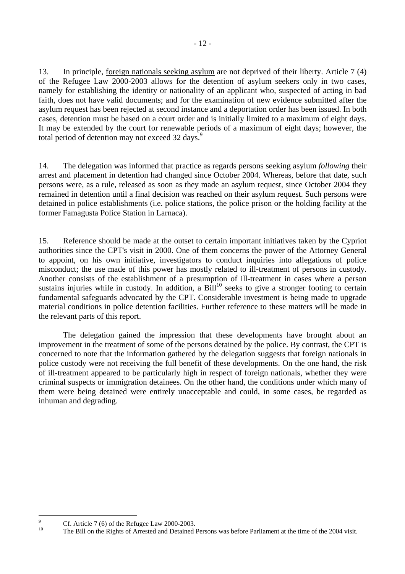13. In principle, foreign nationals seeking asylum are not deprived of their liberty. Article 7 (4) of the Refugee Law 2000-2003 allows for the detention of asylum seekers only in two cases, namely for establishing the identity or nationality of an applicant who, suspected of acting in bad faith, does not have valid documents; and for the examination of new evidence submitted after the asylum request has been rejected at second instance and a deportation order has been issued. In both cases, detention must be based on a court order and is initially limited to a maximum of eight days. It may be extended by the court for renewable periods of a maximum of eight days; however, the total period of detention may not exceed 32 days.<sup>9</sup>

14. The delegation was informed that practice as regards persons seeking asylum *following* their arrest and placement in detention had changed since October 2004. Whereas, before that date, such persons were, as a rule, released as soon as they made an asylum request, since October 2004 they remained in detention until a final decision was reached on their asylum request. Such persons were detained in police establishments (i.e. police stations, the police prison or the holding facility at the former Famagusta Police Station in Larnaca).

15. Reference should be made at the outset to certain important initiatives taken by the Cypriot authorities since the CPT's visit in 2000. One of them concerns the power of the Attorney General to appoint, on his own initiative, investigators to conduct inquiries into allegations of police misconduct; the use made of this power has mostly related to ill-treatment of persons in custody. Another consists of the establishment of a presumption of ill-treatment in cases where a person sustains injuries while in custody. In addition, a  $\text{Bill}^{10}$  seeks to give a stronger footing to certain fundamental safeguards advocated by the CPT. Considerable investment is being made to upgrade material conditions in police detention facilities. Further reference to these matters will be made in the relevant parts of this report.

 The delegation gained the impression that these developments have brought about an improvement in the treatment of some of the persons detained by the police. By contrast, the CPT is concerned to note that the information gathered by the delegation suggests that foreign nationals in police custody were not receiving the full benefit of these developments. On the one hand, the risk of ill-treatment appeared to be particularly high in respect of foreign nationals, whether they were criminal suspects or immigration detainees. On the other hand, the conditions under which many of them were being detained were entirely unacceptable and could, in some cases, be regarded as inhuman and degrading.

<span id="page-11-0"></span>

<sup>-&</sup>lt;br>9 <sup>9</sup> Cf. Article 7 (6) of the Refugee Law 2000-2003.

<span id="page-11-1"></span>The Bill on the Rights of Arrested and Detained Persons was before Parliament at the time of the 2004 visit.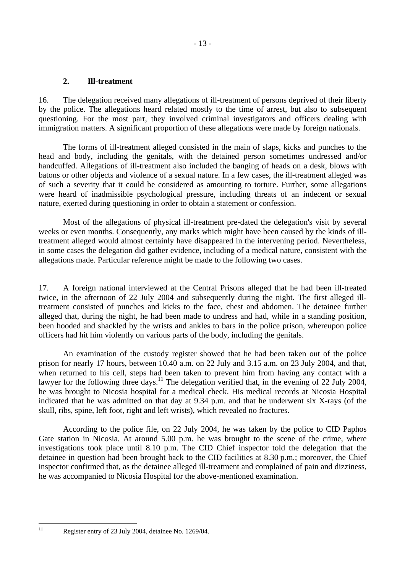#### <span id="page-12-0"></span>**2. Ill-treatment**

16. The delegation received many allegations of ill-treatment of persons deprived of their liberty by the police. The allegations heard related mostly to the time of arrest, but also to subsequent questioning. For the most part, they involved criminal investigators and officers dealing with immigration matters. A significant proportion of these allegations were made by foreign nationals.

- 13 -

 The forms of ill-treatment alleged consisted in the main of slaps, kicks and punches to the head and body, including the genitals, with the detained person sometimes undressed and/or handcuffed. Allegations of ill-treatment also included the banging of heads on a desk, blows with batons or other objects and violence of a sexual nature. In a few cases, the ill-treatment alleged was of such a severity that it could be considered as amounting to torture. Further, some allegations were heard of inadmissible psychological pressure, including threats of an indecent or sexual nature, exerted during questioning in order to obtain a statement or confession.

 Most of the allegations of physical ill-treatment pre-dated the delegation's visit by several weeks or even months. Consequently, any marks which might have been caused by the kinds of illtreatment alleged would almost certainly have disappeared in the intervening period. Nevertheless, in some cases the delegation did gather evidence, including of a medical nature, consistent with the allegations made. Particular reference might be made to the following two cases.

17. A foreign national interviewed at the Central Prisons alleged that he had been ill-treated twice, in the afternoon of 22 July 2004 and subsequently during the night. The first alleged illtreatment consisted of punches and kicks to the face, chest and abdomen. The detainee further alleged that, during the night, he had been made to undress and had, while in a standing position, been hooded and shackled by the wrists and ankles to bars in the police prison, whereupon police officers had hit him violently on various parts of the body, including the genitals.

 An examination of the custody register showed that he had been taken out of the police prison for nearly 17 hours, between 10.40 a.m. on 22 July and 3.15 a.m. on 23 July 2004, and that, when returned to his cell, steps had been taken to prevent him from having any contact with a lawyer for the following three days.<sup>11</sup> The delegation verified that, in the evening of 22 July 2004, he was brought to Nicosia hospital for a medical check. His medical records at Nicosia Hospital indicated that he was admitted on that day at 9.34 p.m. and that he underwent six X-rays (of the skull, ribs, spine, left foot, right and left wrists), which revealed no fractures.

 According to the police file, on 22 July 2004, he was taken by the police to CID Paphos Gate station in Nicosia. At around 5.00 p.m. he was brought to the scene of the crime, where investigations took place until 8.10 p.m. The CID Chief inspector told the delegation that the detainee in question had been brought back to the CID facilities at 8.30 p.m.; moreover, the Chief inspector confirmed that, as the detainee alleged ill-treatment and complained of pain and dizziness, he was accompanied to Nicosia Hospital for the above-mentioned examination.

<span id="page-12-1"></span> $11$ 

Register entry of 23 July 2004, detainee No. 1269/04.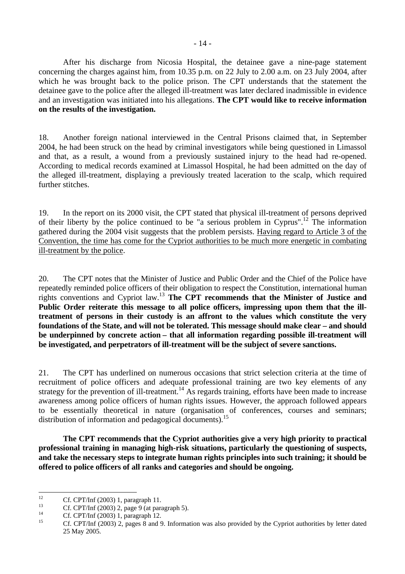After his discharge from Nicosia Hospital, the detainee gave a nine-page statement concerning the charges against him, from 10.35 p.m. on 22 July to 2.00 a.m. on 23 July 2004, after which he was brought back to the police prison. The CPT understands that the statement the detainee gave to the police after the alleged ill-treatment was later declared inadmissible in evidence and an investigation was initiated into his allegations. **The CPT would like to receive information on the results of the investigation.** 

18. Another foreign national interviewed in the Central Prisons claimed that, in September 2004, he had been struck on the head by criminal investigators while being questioned in Limassol and that, as a result, a wound from a previously sustained injury to the head had re-opened. According to medical records examined at Limassol Hospital, he had been admitted on the day of the alleged ill-treatment, displaying a previously treated laceration to the scalp, which required further stitches.

19. In the report on its 2000 visit, the CPT stated that physical ill-treatment of persons deprived of their liberty by the police continued to be "a serious problem in Cyprus".<sup>12</sup> The information gathered during the 2004 visit suggests that the problem persists. Having regard to Article 3 of the Convention, the time has come for the Cypriot authorities to be much more energetic in combating ill-treatment by the police.

20. The CPT notes that the Minister of Justice and Public Order and the Chief of the Police have repeatedly reminded police officers of their obligation to respect the Constitution, international human rights conventions and Cypriot law[.13](#page-13-1) **The CPT recommends that the Minister of Justice and Public Order reiterate this message to all police officers, impressing upon them that the illtreatment of persons in their custody is an affront to the values which constitute the very foundations of the State, and will not be tolerated. This message should make clear – and should be underpinned by concrete action – that all information regarding possible ill-treatment will be investigated, and perpetrators of ill-treatment will be the subject of severe sanctions.** 

21. The CPT has underlined on numerous occasions that strict selection criteria at the time of recruitment of police officers and adequate professional training are two key elements of any strategy for the prevention of ill-treatment.<sup>14</sup> As regards training, efforts have been made to increase awareness among police officers of human rights issues. However, the approach followed appears to be essentially theoretical in nature (organisation of conferences, courses and seminars; distribution of information and pedagogical documents).<sup>[15](#page-13-3)</sup>

**The CPT recommends that the Cypriot authorities give a very high priority to practical professional training in managing high-risk situations, particularly the questioning of suspects, and take the necessary steps to integrate human rights principles into such training; it should be offered to police officers of all ranks and categories and should be ongoing.** 

<span id="page-13-0"></span> $12$ <sup>12</sup> Cf. CPT/Inf (2003) 1, paragraph 11.<br>
Cf. CPT/Inf (2002) 2, page 0 (ct parallel

<span id="page-13-1"></span><sup>&</sup>lt;sup>13</sup> Cf. CPT/Inf (2003) 2, page 9 (at paragraph 5).

<span id="page-13-2"></span><sup>&</sup>lt;sup>14</sup> Cf. CPT/Inf (2003) 1, paragraph 12.

<span id="page-13-3"></span><sup>15</sup> Cf. CPT/Inf (2003) 2, pages 8 and 9. Information was also provided by the Cypriot authorities by letter dated 25 May 2005.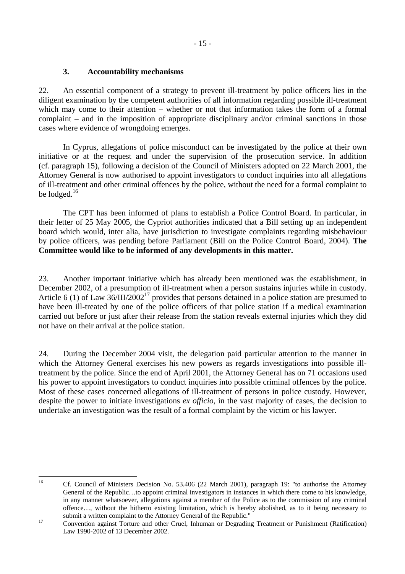## <span id="page-14-0"></span>**3. Accountability mechanisms**

22. An essential component of a strategy to prevent ill-treatment by police officers lies in the diligent examination by the competent authorities of all information regarding possible ill-treatment which may come to their attention – whether or not that information takes the form of a formal complaint – and in the imposition of appropriate disciplinary and/or criminal sanctions in those cases where evidence of wrongdoing emerges.

 In Cyprus, allegations of police misconduct can be investigated by the police at their own initiative or at the request and under the supervision of the prosecution service. In addition (cf. paragraph 15), following a decision of the Council of Ministers adopted on 22 March 2001, the Attorney General is now authorised to appoint investigators to conduct inquiries into all allegations of ill-treatment and other criminal offences by the police, without the need for a formal complaint to be lodged.<sup>16</sup>

 The CPT has been informed of plans to establish a Police Control Board. In particular, in their letter of 25 May 2005, the Cypriot authorities indicated that a Bill setting up an independent board which would, inter alia, have jurisdiction to investigate complaints regarding misbehaviour by police officers, was pending before Parliament (Bill on the Police Control Board, 2004). **The Committee would like to be informed of any developments in this matter.** 

23. Another important initiative which has already been mentioned was the establishment, in December 2002, of a presumption of ill-treatment when a person sustains injuries while in custody. Article 6 (1) of Law 36/III/2002[17](#page-14-2) provides that persons detained in a police station are presumed to have been ill-treated by one of the police officers of that police station if a medical examination carried out before or just after their release from the station reveals external injuries which they did not have on their arrival at the police station.

24. During the December 2004 visit, the delegation paid particular attention to the manner in which the Attorney General exercises his new powers as regards investigations into possible illtreatment by the police. Since the end of April 2001, the Attorney General has on 71 occasions used his power to appoint investigators to conduct inquiries into possible criminal offences by the police. Most of these cases concerned allegations of ill-treatment of persons in police custody. However, despite the power to initiate investigations *ex officio*, in the vast majority of cases, the decision to undertake an investigation was the result of a formal complaint by the victim or his lawyer.

 $16$ 

<span id="page-14-1"></span><sup>16</sup> Cf. Council of Ministers Decision No. 53.406 (22 March 2001), paragraph 19: "to authorise the Attorney General of the Republic…to appoint criminal investigators in instances in which there come to his knowledge, in any manner whatsoever, allegations against a member of the Police as to the commission of any criminal offence…, without the hitherto existing limitation, which is hereby abolished, as to it being necessary to submit a written complaint to the Attorney General of the Republic."<br>
Convention against Torture and other Cruel, Inhuman or Degrading Treatment or Punishment (Ratification)

<span id="page-14-2"></span>Law 1990-2002 of 13 December 2002.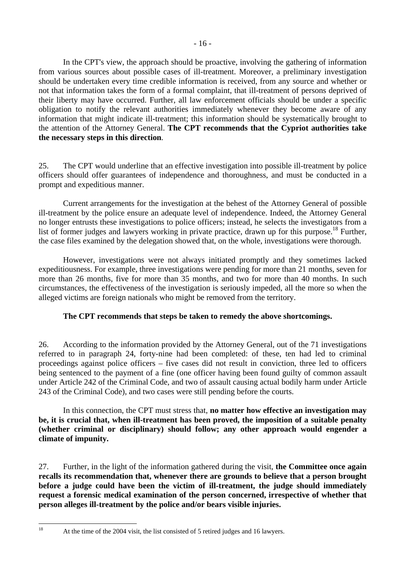In the CPT's view, the approach should be proactive, involving the gathering of information from various sources about possible cases of ill-treatment. Moreover, a preliminary investigation should be undertaken every time credible information is received, from any source and whether or not that information takes the form of a formal complaint, that ill-treatment of persons deprived of their liberty may have occurred. Further, all law enforcement officials should be under a specific obligation to notify the relevant authorities immediately whenever they become aware of any information that might indicate ill-treatment; this information should be systematically brought to the attention of the Attorney General. **The CPT recommends that the Cypriot authorities take the necessary steps in this direction**.

25. The CPT would underline that an effective investigation into possible ill-treatment by police officers should offer guarantees of independence and thoroughness, and must be conducted in a prompt and expeditious manner.

 Current arrangements for the investigation at the behest of the Attorney General of possible ill-treatment by the police ensure an adequate level of independence. Indeed, the Attorney General no longer entrusts these investigations to police officers; instead, he selects the investigators from a list of former judges and lawyers working in private practice, drawn up for this purpose.<sup>18</sup> Further, the case files examined by the delegation showed that, on the whole, investigations were thorough.

 However, investigations were not always initiated promptly and they sometimes lacked expeditiousness. For example, three investigations were pending for more than 21 months, seven for more than 26 months, five for more than 35 months, and two for more than 40 months. In such circumstances, the effectiveness of the investigation is seriously impeded, all the more so when the alleged victims are foreign nationals who might be removed from the territory.

### **The CPT recommends that steps be taken to remedy the above shortcomings.**

26. According to the information provided by the Attorney General, out of the 71 investigations referred to in paragraph 24, forty-nine had been completed: of these, ten had led to criminal proceedings against police officers – five cases did not result in conviction, three led to officers being sentenced to the payment of a fine (one officer having been found guilty of common assault under Article 242 of the Criminal Code, and two of assault causing actual bodily harm under Article 243 of the Criminal Code), and two cases were still pending before the courts.

 In this connection, the CPT must stress that, **no matter how effective an investigation may be, it is crucial that, when ill-treatment has been proved, the imposition of a suitable penalty (whether criminal or disciplinary) should follow; any other approach would engender a climate of impunity.** 

27. Further, in the light of the information gathered during the visit, **the Committee once again recalls its recommendation that, whenever there are grounds to believe that a person brought before a judge could have been the victim of ill-treatment, the judge should immediately request a forensic medical examination of the person concerned, irrespective of whether that person alleges ill-treatment by the police and/or bears visible injuries.** 

At the time of the 2004 visit, the list consisted of 5 retired judges and 16 lawyers.

<span id="page-15-0"></span> $18$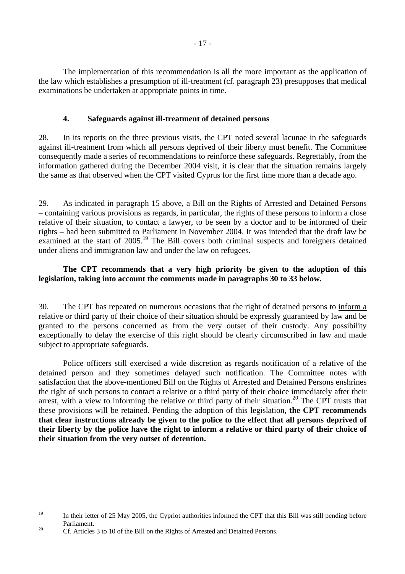<span id="page-16-0"></span> The implementation of this recommendation is all the more important as the application of the law which establishes a presumption of ill-treatment (cf. paragraph 23) presupposes that medical examinations be undertaken at appropriate points in time.

### **4. Safeguards against ill-treatment of detained persons**

28. In its reports on the three previous visits, the CPT noted several lacunae in the safeguards against ill-treatment from which all persons deprived of their liberty must benefit. The Committee consequently made a series of recommendations to reinforce these safeguards. Regrettably, from the information gathered during the December 2004 visit, it is clear that the situation remains largely the same as that observed when the CPT visited Cyprus for the first time more than a decade ago.

29. As indicated in paragraph 15 above, a Bill on the Rights of Arrested and Detained Persons – containing various provisions as regards, in particular, the rights of these persons to inform a close relative of their situation, to contact a lawyer, to be seen by a doctor and to be informed of their rights – had been submitted to Parliament in November 2004. It was intended that the draft law be examined at the start of 2005.<sup>19</sup> The Bill covers both criminal suspects and foreigners detained under aliens and immigration law and under the law on refugees.

# **The CPT recommends that a very high priority be given to the adoption of this legislation, taking into account the comments made in paragraphs 30 to 33 below.**

30. The CPT has repeated on numerous occasions that the right of detained persons to inform a relative or third party of their choice of their situation should be expressly guaranteed by law and be granted to the persons concerned as from the very outset of their custody. Any possibility exceptionally to delay the exercise of this right should be clearly circumscribed in law and made subject to appropriate safeguards.

 Police officers still exercised a wide discretion as regards notification of a relative of the detained person and they sometimes delayed such notification. The Committee notes with satisfaction that the above-mentioned Bill on the Rights of Arrested and Detained Persons enshrines the right of such persons to contact a relative or a third party of their choice immediately after their arrest, with a view to informing the relative or third party of their situation.<sup>20</sup> The CPT trusts that these provisions will be retained. Pending the adoption of this legislation, **the CPT recommends that clear instructions already be given to the police to the effect that all persons deprived of their liberty by the police have the right to inform a relative or third party of their choice of their situation from the very outset of detention.** 

<span id="page-16-1"></span> $10$ In their letter of 25 May 2005, the Cypriot authorities informed the CPT that this Bill was still pending before Parliament.<br><sup>20</sup> Cf. Articles 3 to 10 of the Bill on the Rights of Arrested and Detained Persons.

<span id="page-16-2"></span>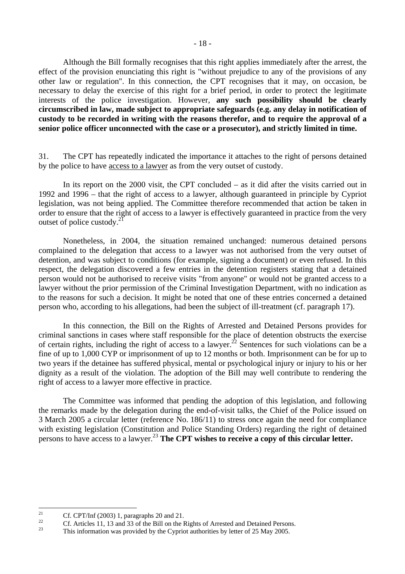Although the Bill formally recognises that this right applies immediately after the arrest, the effect of the provision enunciating this right is "without prejudice to any of the provisions of any other law or regulation". In this connection, the CPT recognises that it may, on occasion, be necessary to delay the exercise of this right for a brief period, in order to protect the legitimate interests of the police investigation. However, **any such possibility should be clearly circumscribed in law, made subject to appropriate safeguards (e.g. any delay in notification of custody to be recorded in writing with the reasons therefor, and to require the approval of a senior police officer unconnected with the case or a prosecutor), and strictly limited in time.**

31. The CPT has repeatedly indicated the importance it attaches to the right of persons detained by the police to have access to a lawyer as from the very outset of custody.

 In its report on the 2000 visit, the CPT concluded – as it did after the visits carried out in 1992 and 1996 – that the right of access to a lawyer, although guaranteed in principle by Cypriot legislation, was not being applied. The Committee therefore recommended that action be taken in order to ensure that the right of access to a lawyer is effectively guaranteed in practice from the very outset of police custody[.21](#page-17-0)

 Nonetheless, in 2004, the situation remained unchanged: numerous detained persons complained to the delegation that access to a lawyer was not authorised from the very outset of detention, and was subject to conditions (for example, signing a document) or even refused. In this respect, the delegation discovered a few entries in the detention registers stating that a detained person would not be authorised to receive visits "from anyone" or would not be granted access to a lawyer without the prior permission of the Criminal Investigation Department, with no indication as to the reasons for such a decision. It might be noted that one of these entries concerned a detained person who, according to his allegations, had been the subject of ill-treatment (cf. paragraph 17).

 In this connection, the Bill on the Rights of Arrested and Detained Persons provides for criminal sanctions in cases where staff responsible for the place of detention obstructs the exercise of certain rights, including the right of access to a lawyer.<sup>22</sup> Sentences for such violations can be a fine of up to 1,000 CYP or imprisonment of up to 12 months or both. Imprisonment can be for up to two years if the detainee has suffered physical, mental or psychological injury or injury to his or her dignity as a result of the violation. The adoption of the Bill may well contribute to rendering the right of access to a lawyer more effective in practice.

 The Committee was informed that pending the adoption of this legislation, and following the remarks made by the delegation during the end-of-visit talks, the Chief of the Police issued on 3 March 2005 a circular letter (reference No. 186/11) to stress once again the need for compliance with existing legislation (Constitution and Police Standing Orders) regarding the right of detained persons to have access to a lawyer[.23](#page-17-2) **The CPT wishes to receive a copy of this circular letter.** 

<span id="page-17-0"></span> $21$ <sup>21</sup> Cf. CPT/Inf (2003) 1, paragraphs 20 and 21.

<span id="page-17-1"></span><sup>&</sup>lt;sup>22</sup> Cf. Articles 11, 13 and 33 of the Bill on the Rights of Arrested and Detained Persons.<br><sup>23</sup> This information was provided by the Cypriot authorities by letter of 25 May 2005.

<span id="page-17-2"></span>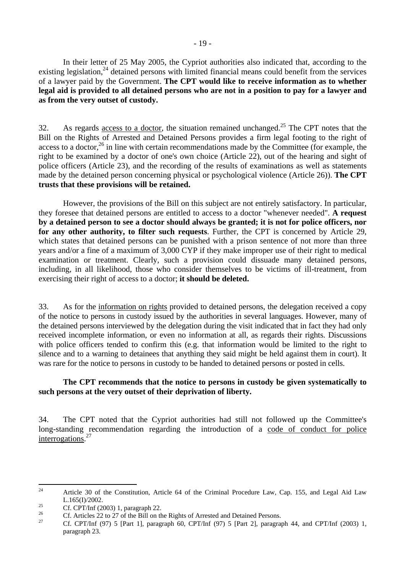In their letter of 25 May 2005, the Cypriot authorities also indicated that, according to the existing legislation,<sup>24</sup> detained persons with limited financial means could benefit from the services of a lawyer paid by the Government. **The CPT would like to receive information as to whether legal aid is provided to all detained persons who are not in a position to pay for a lawyer and as from the very outset of custody.** 

32. As regards access to a doctor, the situation remained unchanged.<sup>25</sup> The CPT notes that the Bill on the Rights of Arrested and Detained Persons provides a firm legal footing to the right of access to a doctor,  $26$  in line with certain recommendations made by the Committee (for example, the right to be examined by a doctor of one's own choice (Article 22), out of the hearing and sight of police officers (Article 23), and the recording of the results of examinations as well as statements made by the detained person concerning physical or psychological violence (Article 26)). **The CPT trusts that these provisions will be retained.** 

 However, the provisions of the Bill on this subject are not entirely satisfactory. In particular, they foresee that detained persons are entitled to access to a doctor "whenever needed". **A request by a detained person to see a doctor should always be granted; it is not for police officers, nor for any other authority, to filter such requests**. Further, the CPT is concerned by Article 29, which states that detained persons can be punished with a prison sentence of not more than three years and/or a fine of a maximum of 3,000 CYP if they make improper use of their right to medical examination or treatment. Clearly, such a provision could dissuade many detained persons, including, in all likelihood, those who consider themselves to be victims of ill-treatment, from exercising their right of access to a doctor; **it should be deleted.** 

33. As for the information on rights provided to detained persons, the delegation received a copy of the notice to persons in custody issued by the authorities in several languages. However, many of the detained persons interviewed by the delegation during the visit indicated that in fact they had only received incomplete information, or even no information at all, as regards their rights. Discussions with police officers tended to confirm this (e.g. that information would be limited to the right to silence and to a warning to detainees that anything they said might be held against them in court). It was rare for the notice to persons in custody to be handed to detained persons or posted in cells.

#### **The CPT recommends that the notice to persons in custody be given systematically to such persons at the very outset of their deprivation of liberty.**

34. The CPT noted that the Cypriot authorities had still not followed up the Committee's long-standing recommendation regarding the introduction of a code of conduct for police interrogations.<sup>[27](#page-18-3)</sup>

<span id="page-18-0"></span> $24$ 24 Article 30 of the Constitution, Article 64 of the Criminal Procedure Law, Cap. 155, and Legal Aid Law

<span id="page-18-1"></span>L.165(I)/2002.<br>
Cf. CPT/Inf (2003) 1, paragraph 22.

<span id="page-18-3"></span><span id="page-18-2"></span>

<sup>&</sup>lt;sup>26</sup> Cf. Articles 22 to 27 of the Bill on the Rights of Arrested and Detained Persons.<br><sup>27</sup> Cf. CPT/Inf (97) 5 [Part 1], paragraph 60, CPT/Inf (97) 5 [Part 2], paragraph 44, and CPT/Inf (2003) 1, paragraph 23.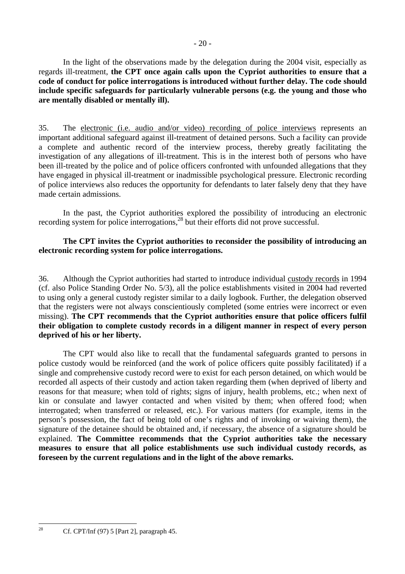In the light of the observations made by the delegation during the 2004 visit, especially as regards ill-treatment, **the CPT once again calls upon the Cypriot authorities to ensure that a code of conduct for police interrogations is introduced without further delay. The code should include specific safeguards for particularly vulnerable persons (e.g. the young and those who are mentally disabled or mentally ill).** 

35. The electronic (i.e. audio and/or video) recording of police interviews represents an important additional safeguard against ill-treatment of detained persons. Such a facility can provide a complete and authentic record of the interview process, thereby greatly facilitating the investigation of any allegations of ill-treatment. This is in the interest both of persons who have been ill-treated by the police and of police officers confronted with unfounded allegations that they have engaged in physical ill-treatment or inadmissible psychological pressure. Electronic recording of police interviews also reduces the opportunity for defendants to later falsely deny that they have made certain admissions.

 In the past, the Cypriot authorities explored the possibility of introducing an electronic recording system for police interrogations,<sup>28</sup> but their efforts did not prove successful.

#### **The CPT invites the Cypriot authorities to reconsider the possibility of introducing an electronic recording system for police interrogations.**

36. Although the Cypriot authorities had started to introduce individual custody records in 1994 (cf. also Police Standing Order No. 5/3), all the police establishments visited in 2004 had reverted to using only a general custody register similar to a daily logbook. Further, the delegation observed that the registers were not always conscientiously completed (some entries were incorrect or even missing). **The CPT recommends that the Cypriot authorities ensure that police officers fulfil their obligation to complete custody records in a diligent manner in respect of every person deprived of his or her liberty.**

 The CPT would also like to recall that the fundamental safeguards granted to persons in police custody would be reinforced (and the work of police officers quite possibly facilitated) if a single and comprehensive custody record were to exist for each person detained, on which would be recorded all aspects of their custody and action taken regarding them (when deprived of liberty and reasons for that measure; when told of rights; signs of injury, health problems, etc.; when next of kin or consulate and lawyer contacted and when visited by them; when offered food; when interrogated; when transferred or released, etc.). For various matters (for example, items in the person's possession, the fact of being told of one's rights and of invoking or waiving them), the signature of the detainee should be obtained and, if necessary, the absence of a signature should be explained. **The Committee recommends that the Cypriot authorities take the necessary measures to ensure that all police establishments use such individual custody records, as foreseen by the current regulations and in the light of the above remarks.** 

<span id="page-19-0"></span> $28$ Cf. CPT/Inf  $(97)$  5 [Part 2], paragraph 45.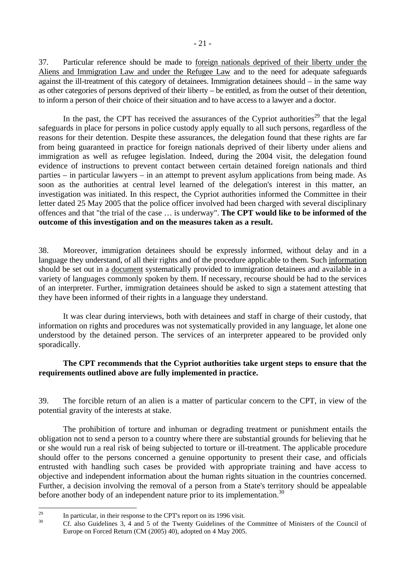37. Particular reference should be made to foreign nationals deprived of their liberty under the Aliens and Immigration Law and under the Refugee Law and to the need for adequate safeguards against the ill-treatment of this category of detainees. Immigration detainees should – in the same way as other categories of persons deprived of their liberty – be entitled, as from the outset of their detention, to inform a person of their choice of their situation and to have access to a lawyer and a doctor.

In the past, the CPT has received the assurances of the Cypriot authorities<sup>29</sup> that the legal safeguards in place for persons in police custody apply equally to all such persons, regardless of the reasons for their detention. Despite these assurances, the delegation found that these rights are far from being guaranteed in practice for foreign nationals deprived of their liberty under aliens and immigration as well as refugee legislation. Indeed, during the 2004 visit, the delegation found evidence of instructions to prevent contact between certain detained foreign nationals and third parties – in particular lawyers – in an attempt to prevent asylum applications from being made. As soon as the authorities at central level learned of the delegation's interest in this matter, an investigation was initiated. In this respect, the Cypriot authorities informed the Committee in their letter dated 25 May 2005 that the police officer involved had been charged with several disciplinary offences and that "the trial of the case … is underway". **The CPT would like to be informed of the outcome of this investigation and on the measures taken as a result.** 

38. Moreover, immigration detainees should be expressly informed, without delay and in a language they understand, of all their rights and of the procedure applicable to them. Such information should be set out in a document systematically provided to immigration detainees and available in a variety of languages commonly spoken by them. If necessary, recourse should be had to the services of an interpreter. Further, immigration detainees should be asked to sign a statement attesting that they have been informed of their rights in a language they understand.

 It was clear during interviews, both with detainees and staff in charge of their custody, that information on rights and procedures was not systematically provided in any language, let alone one understood by the detained person. The services of an interpreter appeared to be provided only sporadically.

### **The CPT recommends that the Cypriot authorities take urgent steps to ensure that the requirements outlined above are fully implemented in practice.**

39. The forcible return of an alien is a matter of particular concern to the CPT, in view of the potential gravity of the interests at stake.

 The prohibition of torture and inhuman or degrading treatment or punishment entails the obligation not to send a person to a country where there are substantial grounds for believing that he or she would run a real risk of being subjected to torture or ill-treatment. The applicable procedure should offer to the persons concerned a genuine opportunity to present their case, and officials entrusted with handling such cases be provided with appropriate training and have access to objective and independent information about the human rights situation in the countries concerned. Further, a decision involving the removal of a person from a State's territory should be appealable before another body of an independent nature prior to its implementation.<sup>30</sup>

<span id="page-20-0"></span> $\overline{29}$ <sup>29</sup> In particular, in their response to the CPT's report on its 1996 visit.

<span id="page-20-1"></span>Cf. also Guidelines 3, 4 and 5 of the Twenty Guidelines of the Committee of Ministers of the Council of Europe on Forced Return (CM (2005) 40), adopted on 4 May 2005.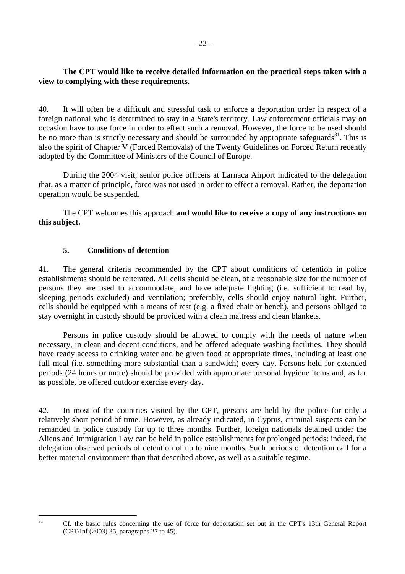## <span id="page-21-0"></span>**The CPT would like to receive detailed information on the practical steps taken with a view to complying with these requirements.**

40. It will often be a difficult and stressful task to enforce a deportation order in respect of a foreign national who is determined to stay in a State's territory. Law enforcement officials may on occasion have to use force in order to effect such a removal. However, the force to be used should be no more than is strictly necessary and should be surrounded by appropriate safeguards<sup>31</sup>. This is also the spirit of Chapter V (Forced Removals) of the Twenty Guidelines on Forced Return recently adopted by the Committee of Ministers of the Council of Europe.

 During the 2004 visit, senior police officers at Larnaca Airport indicated to the delegation that, as a matter of principle, force was not used in order to effect a removal. Rather, the deportation operation would be suspended.

 The CPT welcomes this approach **and would like to receive a copy of any instructions on this subject.** 

### **5. Conditions of detention**

41. The general criteria recommended by the CPT about conditions of detention in police establishments should be reiterated. All cells should be clean, of a reasonable size for the number of persons they are used to accommodate, and have adequate lighting (i.e. sufficient to read by, sleeping periods excluded) and ventilation; preferably, cells should enjoy natural light. Further, cells should be equipped with a means of rest (e.g. a fixed chair or bench), and persons obliged to stay overnight in custody should be provided with a clean mattress and clean blankets.

 Persons in police custody should be allowed to comply with the needs of nature when necessary, in clean and decent conditions, and be offered adequate washing facilities. They should have ready access to drinking water and be given food at appropriate times, including at least one full meal (i.e. something more substantial than a sandwich) every day. Persons held for extended periods (24 hours or more) should be provided with appropriate personal hygiene items and, as far as possible, be offered outdoor exercise every day.

42. In most of the countries visited by the CPT, persons are held by the police for only a relatively short period of time. However, as already indicated, in Cyprus, criminal suspects can be remanded in police custody for up to three months. Further, foreign nationals detained under the Aliens and Immigration Law can be held in police establishments for prolonged periods: indeed, the delegation observed periods of detention of up to nine months. Such periods of detention call for a better material environment than that described above, as well as a suitable regime.

<span id="page-21-1"></span> $\overline{31}$ 

Cf. the basic rules concerning the use of force for deportation set out in the CPT's 13th General Report (CPT/Inf (2003) 35, paragraphs 27 to 45).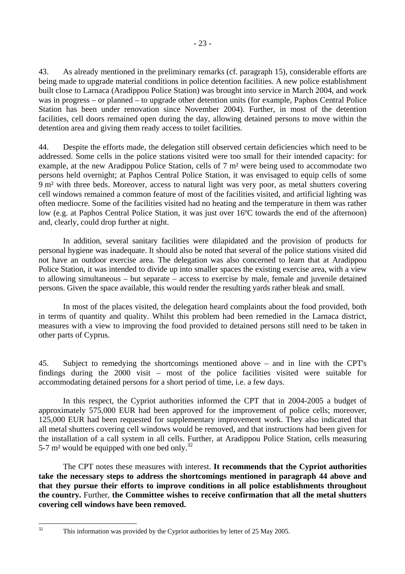43. As already mentioned in the preliminary remarks (cf. paragraph 15), considerable efforts are being made to upgrade material conditions in police detention facilities. A new police establishment built close to Larnaca (Aradippou Police Station) was brought into service in March 2004, and work was in progress – or planned – to upgrade other detention units (for example, Paphos Central Police Station has been under renovation since November 2004). Further, in most of the detention facilities, cell doors remained open during the day, allowing detained persons to move within the detention area and giving them ready access to toilet facilities.

44. Despite the efforts made, the delegation still observed certain deficiencies which need to be addressed. Some cells in the police stations visited were too small for their intended capacity: for example, at the new Aradippou Police Station, cells of 7 m² were being used to accommodate two persons held overnight; at Paphos Central Police Station, it was envisaged to equip cells of some 9 m² with three beds. Moreover, access to natural light was very poor, as metal shutters covering cell windows remained a common feature of most of the facilities visited, and artificial lighting was often mediocre. Some of the facilities visited had no heating and the temperature in them was rather low (e.g. at Paphos Central Police Station, it was just over 16ºC towards the end of the afternoon) and, clearly, could drop further at night.

 In addition, several sanitary facilities were dilapidated and the provision of products for personal hygiene was inadequate. It should also be noted that several of the police stations visited did not have an outdoor exercise area. The delegation was also concerned to learn that at Aradippou Police Station, it was intended to divide up into smaller spaces the existing exercise area, with a view to allowing simultaneous – but separate – access to exercise by male, female and juvenile detained persons. Given the space available, this would render the resulting yards rather bleak and small.

 In most of the places visited, the delegation heard complaints about the food provided, both in terms of quantity and quality. Whilst this problem had been remedied in the Larnaca district, measures with a view to improving the food provided to detained persons still need to be taken in other parts of Cyprus.

45. Subject to remedying the shortcomings mentioned above – and in line with the CPT's findings during the 2000 visit – most of the police facilities visited were suitable for accommodating detained persons for a short period of time, i.e. a few days.

 In this respect, the Cypriot authorities informed the CPT that in 2004-2005 a budget of approximately 575,000 EUR had been approved for the improvement of police cells; moreover, 125,000 EUR had been requested for supplementary improvement work. They also indicated that all metal shutters covering cell windows would be removed, and that instructions had been given for the installation of a call system in all cells. Further, at Aradippou Police Station, cells measuring 5-7  $m<sup>2</sup>$  would be equipped with one bed only.<sup>32</sup>

 The CPT notes these measures with interest. **It recommends that the Cypriot authorities take the necessary steps to address the shortcomings mentioned in paragraph 44 above and that they pursue their efforts to improve conditions in all police establishments throughout the country.** Further, **the Committee wishes to receive confirmation that all the metal shutters covering cell windows have been removed.** 

<span id="page-22-0"></span> $32$ 

This information was provided by the Cypriot authorities by letter of 25 May 2005.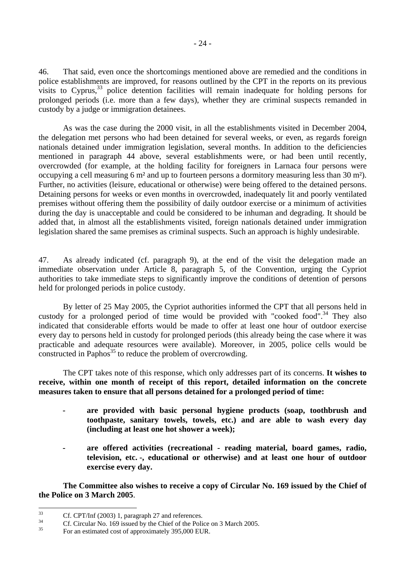46. That said, even once the shortcomings mentioned above are remedied and the conditions in police establishments are improved, for reasons outlined by the CPT in the reports on its previous visits to Cyprus,  $33$  police detention facilities will remain inadequate for holding persons for prolonged periods (i.e. more than a few days), whether they are criminal suspects remanded in custody by a judge or immigration detainees.

 As was the case during the 2000 visit, in all the establishments visited in December 2004, the delegation met persons who had been detained for several weeks, or even, as regards foreign nationals detained under immigration legislation, several months. In addition to the deficiencies mentioned in paragraph 44 above, several establishments were, or had been until recently, overcrowded (for example, at the holding facility for foreigners in Larnaca four persons were occupying a cell measuring 6 m² and up to fourteen persons a dormitory measuring less than 30 m²). Further, no activities (leisure, educational or otherwise) were being offered to the detained persons. Detaining persons for weeks or even months in overcrowded, inadequately lit and poorly ventilated premises without offering them the possibility of daily outdoor exercise or a minimum of activities during the day is unacceptable and could be considered to be inhuman and degrading. It should be added that, in almost all the establishments visited, foreign nationals detained under immigration legislation shared the same premises as criminal suspects. Such an approach is highly undesirable.

47. As already indicated (cf. paragraph 9), at the end of the visit the delegation made an immediate observation under Article 8, paragraph 5, of the Convention, urging the Cypriot authorities to take immediate steps to significantly improve the conditions of detention of persons held for prolonged periods in police custody.

 By letter of 25 May 2005, the Cypriot authorities informed the CPT that all persons held in custody for a prolonged period of time would be provided with "cooked food".<sup>34</sup> They also indicated that considerable efforts would be made to offer at least one hour of outdoor exercise every day to persons held in custody for prolonged periods (this already being the case where it was practicable and adequate resources were available). Moreover, in 2005, police cells would be constructed in Paphos<sup>35</sup> to reduce the problem of overcrowding.

 The CPT takes note of this response, which only addresses part of its concerns. **It wishes to receive, within one month of receipt of this report, detailed information on the concrete measures taken to ensure that all persons detained for a prolonged period of time:** 

- **are provided with basic personal hygiene products (soap, toothbrush and toothpaste, sanitary towels, towels, etc.) and are able to wash every day (including at least one hot shower a week);**
- **are offered activities (recreational reading material, board games, radio, television, etc. -, educational or otherwise) and at least one hour of outdoor exercise every day.**

 **The Committee also wishes to receive a copy of Circular No. 169 issued by the Chief of the Police on 3 March 2005**.

<span id="page-23-0"></span> $33$ <sup>33</sup> Cf. CPT/Inf (2003) 1, paragraph 27 and references.

<span id="page-23-1"></span><sup>&</sup>lt;sup>34</sup> Cf. Circular No. 169 issued by the Chief of the Police on 3 March 2005.

<span id="page-23-2"></span><sup>35</sup> For an estimated cost of approximately 395,000 EUR.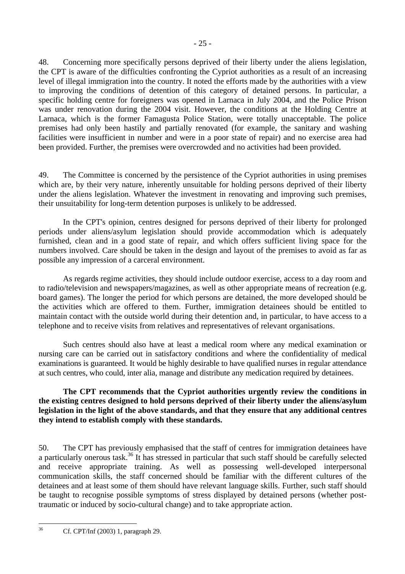48. Concerning more specifically persons deprived of their liberty under the aliens legislation, the CPT is aware of the difficulties confronting the Cypriot authorities as a result of an increasing level of illegal immigration into the country. It noted the efforts made by the authorities with a view to improving the conditions of detention of this category of detained persons. In particular, a specific holding centre for foreigners was opened in Larnaca in July 2004, and the Police Prison was under renovation during the 2004 visit. However, the conditions at the Holding Centre at Larnaca, which is the former Famagusta Police Station, were totally unacceptable. The police premises had only been hastily and partially renovated (for example, the sanitary and washing facilities were insufficient in number and were in a poor state of repair) and no exercise area had been provided. Further, the premises were overcrowded and no activities had been provided.

49. The Committee is concerned by the persistence of the Cypriot authorities in using premises which are, by their very nature, inherently unsuitable for holding persons deprived of their liberty under the aliens legislation. Whatever the investment in renovating and improving such premises, their unsuitability for long-term detention purposes is unlikely to be addressed.

 In the CPT's opinion, centres designed for persons deprived of their liberty for prolonged periods under aliens/asylum legislation should provide accommodation which is adequately furnished, clean and in a good state of repair, and which offers sufficient living space for the numbers involved. Care should be taken in the design and layout of the premises to avoid as far as possible any impression of a carceral environment.

 As regards regime activities, they should include outdoor exercise, access to a day room and to radio/television and newspapers/magazines, as well as other appropriate means of recreation (e.g. board games). The longer the period for which persons are detained, the more developed should be the activities which are offered to them. Further, immigration detainees should be entitled to maintain contact with the outside world during their detention and, in particular, to have access to a telephone and to receive visits from relatives and representatives of relevant organisations.

 Such centres should also have at least a medical room where any medical examination or nursing care can be carried out in satisfactory conditions and where the confidentiality of medical examinations is guaranteed. It would be highly desirable to have qualified nurses in regular attendance at such centres, who could, inter alia, manage and distribute any medication required by detainees.

**The CPT recommends that the Cypriot authorities urgently review the conditions in the existing centres designed to hold persons deprived of their liberty under the aliens/asylum legislation in the light of the above standards, and that they ensure that any additional centres they intend to establish comply with these standards.** 

50. The CPT has previously emphasised that the staff of centres for immigration detainees have a particularly onerous task.<sup>36</sup> It has stressed in particular that such staff should be carefully selected and receive appropriate training. As well as possessing well-developed interpersonal communication skills, the staff concerned should be familiar with the different cultures of the detainees and at least some of them should have relevant language skills. Further, such staff should be taught to recognise possible symptoms of stress displayed by detained persons (whether posttraumatic or induced by socio-cultural change) and to take appropriate action.

<span id="page-24-0"></span> $36$ 36 Cf. CPT/Inf (2003) 1, paragraph 29.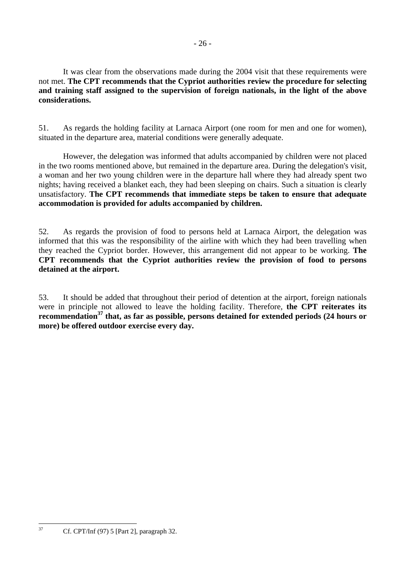It was clear from the observations made during the 2004 visit that these requirements were not met. **The CPT recommends that the Cypriot authorities review the procedure for selecting and training staff assigned to the supervision of foreign nationals, in the light of the above considerations.** 

51. As regards the holding facility at Larnaca Airport (one room for men and one for women), situated in the departure area, material conditions were generally adequate.

 However, the delegation was informed that adults accompanied by children were not placed in the two rooms mentioned above, but remained in the departure area. During the delegation's visit, a woman and her two young children were in the departure hall where they had already spent two nights; having received a blanket each, they had been sleeping on chairs. Such a situation is clearly unsatisfactory. **The CPT recommends that immediate steps be taken to ensure that adequate accommodation is provided for adults accompanied by children.** 

52. As regards the provision of food to persons held at Larnaca Airport, the delegation was informed that this was the responsibility of the airline with which they had been travelling when they reached the Cypriot border. However, this arrangement did not appear to be working. **The CPT recommends that the Cypriot authorities review the provision of food to persons detained at the airport.**

53. It should be added that throughout their period of detention at the airport, foreign nationals were in principle not allowed to leave the holding facility. Therefore, **the CPT reiterates its recommendatio[n37](#page-25-0) that, as far as possible, persons detained for extended periods (24 hours or more) be offered outdoor exercise every day.** 

<span id="page-25-0"></span> $37$ 37 Cf. CPT/Inf (97) 5 [Part 2], paragraph 32.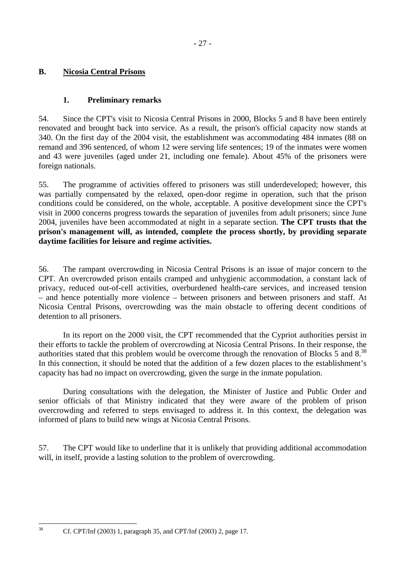# <span id="page-26-0"></span>**B. Nicosia Central Prisons**

### **1. Preliminary remarks**

54. Since the CPT's visit to Nicosia Central Prisons in 2000, Blocks 5 and 8 have been entirely renovated and brought back into service. As a result, the prison's official capacity now stands at 340. On the first day of the 2004 visit, the establishment was accommodating 484 inmates (88 on remand and 396 sentenced, of whom 12 were serving life sentences; 19 of the inmates were women and 43 were juveniles (aged under 21, including one female). About 45% of the prisoners were foreign nationals.

55. The programme of activities offered to prisoners was still underdeveloped; however, this was partially compensated by the relaxed, open-door regime in operation, such that the prison conditions could be considered, on the whole, acceptable. A positive development since the CPT's visit in 2000 concerns progress towards the separation of juveniles from adult prisoners; since June 2004, juveniles have been accommodated at night in a separate section. **The CPT trusts that the prison's management will, as intended, complete the process shortly, by providing separate daytime facilities for leisure and regime activities.** 

56. The rampant overcrowding in Nicosia Central Prisons is an issue of major concern to the CPT. An overcrowded prison entails cramped and unhygienic accommodation, a constant lack of privacy, reduced out-of-cell activities, overburdened health-care services, and increased tension – and hence potentially more violence – between prisoners and between prisoners and staff. At Nicosia Central Prisons, overcrowding was the main obstacle to offering decent conditions of detention to all prisoners.

 In its report on the 2000 visit, the CPT recommended that the Cypriot authorities persist in their efforts to tackle the problem of overcrowding at Nicosia Central Prisons. In their response, the authorities stated that this problem would be overcome through the renovation of Blocks 5 and 8.<sup>[38](#page-26-1)</sup> In this connection, it should be noted that the addition of a few dozen places to the establishment's capacity has had no impact on overcrowding, given the surge in the inmate population.

 During consultations with the delegation, the Minister of Justice and Public Order and senior officials of that Ministry indicated that they were aware of the problem of prison overcrowding and referred to steps envisaged to address it. In this context, the delegation was informed of plans to build new wings at Nicosia Central Prisons.

57. The CPT would like to underline that it is unlikely that providing additional accommodation will, in itself, provide a lasting solution to the problem of overcrowding.

 $38$ 

<span id="page-26-1"></span><sup>38</sup> Cf. CPT/Inf (2003) 1, paragraph 35, and CPT/Inf (2003) 2, page 17.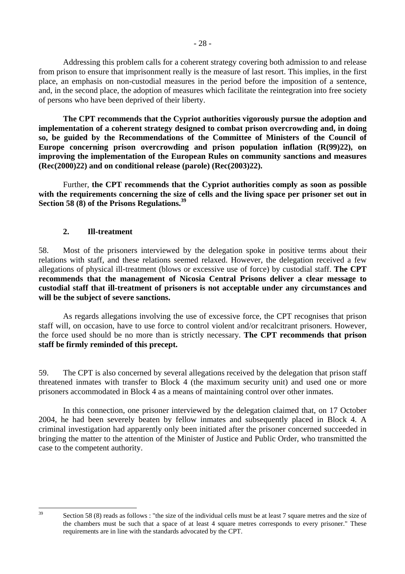<span id="page-27-0"></span> Addressing this problem calls for a coherent strategy covering both admission to and release from prison to ensure that imprisonment really is the measure of last resort. This implies, in the first place, an emphasis on non-custodial measures in the period before the imposition of a sentence, and, in the second place, the adoption of measures which facilitate the reintegration into free society of persons who have been deprived of their liberty.

**The CPT recommends that the Cypriot authorities vigorously pursue the adoption and implementation of a coherent strategy designed to combat prison overcrowding and, in doing so, be guided by the Recommendations of the Committee of Ministers of the Council of Europe concerning prison overcrowding and prison population inflation (R(99)22), on improving the implementation of the European Rules on community sanctions and measures (Rec(2000)22) and on conditional release (parole) (Rec(2003)22).** 

 Further, **the CPT recommends that the Cypriot authorities comply as soon as possible with the requirements concerning the size of cells and the living space per prisoner set out in Section 58 (8) of the Prisons Regulations[.39](#page-27-1)**

#### **2. Ill-treatment**

 $30$ 

58. Most of the prisoners interviewed by the delegation spoke in positive terms about their relations with staff, and these relations seemed relaxed. However, the delegation received a few allegations of physical ill-treatment (blows or excessive use of force) by custodial staff. **The CPT recommends that the management of Nicosia Central Prisons deliver a clear message to custodial staff that ill-treatment of prisoners is not acceptable under any circumstances and will be the subject of severe sanctions.** 

 As regards allegations involving the use of excessive force, the CPT recognises that prison staff will, on occasion, have to use force to control violent and/or recalcitrant prisoners. However, the force used should be no more than is strictly necessary. **The CPT recommends that prison staff be firmly reminded of this precept.** 

59. The CPT is also concerned by several allegations received by the delegation that prison staff threatened inmates with transfer to Block 4 (the maximum security unit) and used one or more prisoners accommodated in Block 4 as a means of maintaining control over other inmates.

 In this connection, one prisoner interviewed by the delegation claimed that, on 17 October 2004, he had been severely beaten by fellow inmates and subsequently placed in Block 4. A criminal investigation had apparently only been initiated after the prisoner concerned succeeded in bringing the matter to the attention of the Minister of Justice and Public Order, who transmitted the case to the competent authority.

<span id="page-27-1"></span>Section 58 (8) reads as follows : "the size of the individual cells must be at least 7 square metres and the size of the chambers must be such that a space of at least 4 square metres corresponds to every prisoner." These requirements are in line with the standards advocated by the CPT.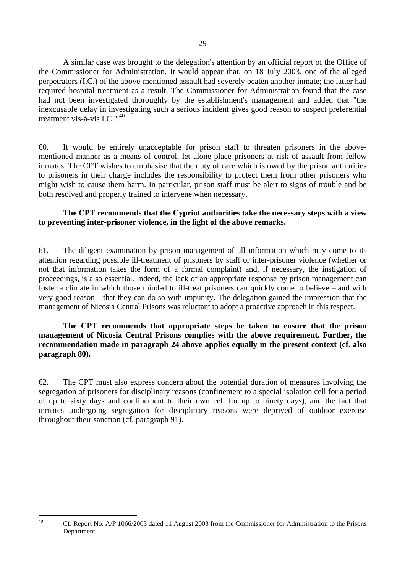A similar case was brought to the delegation's attention by an official report of the Office of the Commissioner for Administration. It would appear that, on 18 July 2003, one of the alleged perpetrators (I.C.) of the above-mentioned assault had severely beaten another inmate; the latter had required hospital treatment as a result. The Commissioner for Administration found that the case had not been investigated thoroughly by the establishment's management and added that "the inexcusable delay in investigating such a serious incident gives good reason to suspect preferential treatment vis-à-vis I.C."[.40](#page-28-0)

60. It would be entirely unacceptable for prison staff to threaten prisoners in the abovementioned manner as a means of control, let alone place prisoners at risk of assault from fellow inmates. The CPT wishes to emphasise that the duty of care which is owed by the prison authorities to prisoners in their charge includes the responsibility to protect them from other prisoners who might wish to cause them harm. In particular, prison staff must be alert to signs of trouble and be both resolved and properly trained to intervene when necessary.

#### **The CPT recommends that the Cypriot authorities take the necessary steps with a view to preventing inter-prisoner violence, in the light of the above remarks.**

61. The diligent examination by prison management of all information which may come to its attention regarding possible ill-treatment of prisoners by staff or inter-prisoner violence (whether or not that information takes the form of a formal complaint) and, if necessary, the instigation of proceedings, is also essential. Indeed, the lack of an appropriate response by prison management can foster a climate in which those minded to ill-treat prisoners can quickly come to believe – and with very good reason – that they can do so with impunity. The delegation gained the impression that the management of Nicosia Central Prisons was reluctant to adopt a proactive approach in this respect.

#### **The CPT recommends that appropriate steps be taken to ensure that the prison management of Nicosia Central Prisons complies with the above requirement. Further, the recommendation made in paragraph 24 above applies equally in the present context (cf. also paragraph 80).**

62. The CPT must also express concern about the potential duration of measures involving the segregation of prisoners for disciplinary reasons (confinement to a special isolation cell for a period of up to sixty days and confinement to their own cell for up to ninety days), and the fact that inmates undergoing segregation for disciplinary reasons were deprived of outdoor exercise throughout their sanction (cf. paragraph 91).

<span id="page-28-0"></span> $40$ 

Cf. Report No. A/P 1066/2003 dated 11 August 2003 from the Commissioner for Administration to the Prisons Department.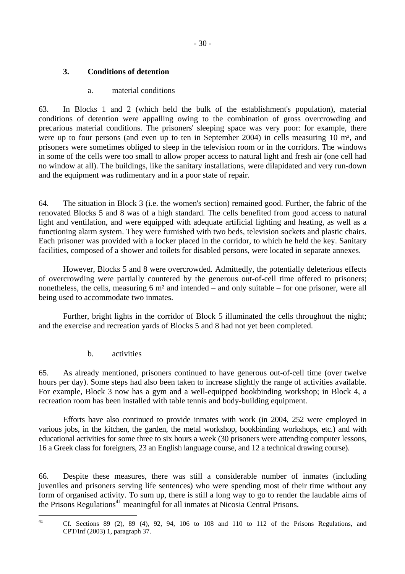# <span id="page-29-0"></span>**3. Conditions of detention**

# a. material conditions

63. In Blocks 1 and 2 (which held the bulk of the establishment's population), material conditions of detention were appalling owing to the combination of gross overcrowding and precarious material conditions. The prisoners' sleeping space was very poor: for example, there were up to four persons (and even up to ten in September 2004) in cells measuring 10 m², and prisoners were sometimes obliged to sleep in the television room or in the corridors. The windows in some of the cells were too small to allow proper access to natural light and fresh air (one cell had no window at all). The buildings, like the sanitary installations, were dilapidated and very run-down and the equipment was rudimentary and in a poor state of repair.

64. The situation in Block 3 (i.e. the women's section) remained good. Further, the fabric of the renovated Blocks 5 and 8 was of a high standard. The cells benefited from good access to natural light and ventilation, and were equipped with adequate artificial lighting and heating, as well as a functioning alarm system. They were furnished with two beds, television sockets and plastic chairs. Each prisoner was provided with a locker placed in the corridor, to which he held the key. Sanitary facilities, composed of a shower and toilets for disabled persons, were located in separate annexes.

 However, Blocks 5 and 8 were overcrowded. Admittedly, the potentially deleterious effects of overcrowding were partially countered by the generous out-of-cell time offered to prisoners; nonetheless, the cells, measuring 6 m² and intended – and only suitable – for one prisoner, were all being used to accommodate two inmates.

 Further, bright lights in the corridor of Block 5 illuminated the cells throughout the night; and the exercise and recreation yards of Blocks 5 and 8 had not yet been completed.

b. activities

65. As already mentioned, prisoners continued to have generous out-of-cell time (over twelve hours per day). Some steps had also been taken to increase slightly the range of activities available. For example, Block 3 now has a gym and a well-equipped bookbinding workshop; in Block 4, a recreation room has been installed with table tennis and body-building equipment.

 Efforts have also continued to provide inmates with work (in 2004, 252 were employed in various jobs, in the kitchen, the garden, the metal workshop, bookbinding workshops, etc.) and with educational activities for some three to six hours a week (30 prisoners were attending computer lessons, 16 a Greek class for foreigners, 23 an English language course, and 12 a technical drawing course).

66. Despite these measures, there was still a considerable number of inmates (including juveniles and prisoners serving life sentences) who were spending most of their time without any form of organised activity. To sum up, there is still a long way to go to render the laudable aims of the Prisons Regulations<sup> $41$ </sup> meaningful for all inmates at Nicosia Central Prisons.

 $41$ 

<span id="page-29-1"></span><sup>41</sup> Cf. Sections 89 (2), 89 (4), 92, 94, 106 to 108 and 110 to 112 of the Prisons Regulations, and CPT/Inf (2003) 1, paragraph 37.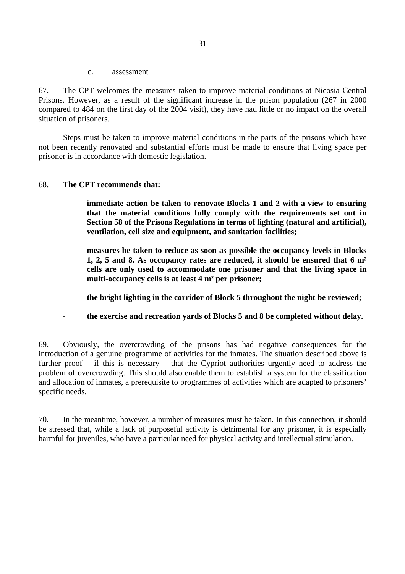c. assessment

<span id="page-30-0"></span>67. The CPT welcomes the measures taken to improve material conditions at Nicosia Central Prisons. However, as a result of the significant increase in the prison population (267 in 2000 compared to 484 on the first day of the 2004 visit), they have had little or no impact on the overall situation of prisoners.

 Steps must be taken to improve material conditions in the parts of the prisons which have not been recently renovated and substantial efforts must be made to ensure that living space per prisoner is in accordance with domestic legislation.

#### 68. **The CPT recommends that:**

- immediate action be taken to renovate Blocks 1 and 2 with a view to ensuring **that the material conditions fully comply with the requirements set out in Section 58 of the Prisons Regulations in terms of lighting (natural and artificial), ventilation, cell size and equipment, and sanitation facilities;**
- **measures be taken to reduce as soon as possible the occupancy levels in Blocks 1, 2, 5 and 8. As occupancy rates are reduced, it should be ensured that 6 m² cells are only used to accommodate one prisoner and that the living space in multi-occupancy cells is at least 4 m² per prisoner;**
- **the bright lighting in the corridor of Block 5 throughout the night be reviewed;**
- **the exercise and recreation yards of Blocks 5 and 8 be completed without delay.**

69. Obviously, the overcrowding of the prisons has had negative consequences for the introduction of a genuine programme of activities for the inmates. The situation described above is further proof – if this is necessary – that the Cypriot authorities urgently need to address the problem of overcrowding. This should also enable them to establish a system for the classification and allocation of inmates, a prerequisite to programmes of activities which are adapted to prisoners' specific needs.

70. In the meantime, however, a number of measures must be taken. In this connection, it should be stressed that, while a lack of purposeful activity is detrimental for any prisoner, it is especially harmful for juveniles, who have a particular need for physical activity and intellectual stimulation.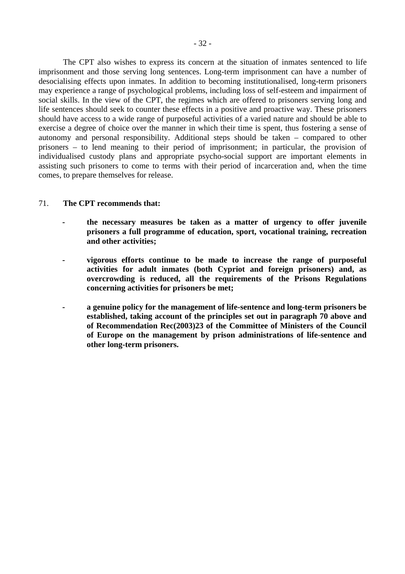The CPT also wishes to express its concern at the situation of inmates sentenced to life imprisonment and those serving long sentences. Long-term imprisonment can have a number of desocialising effects upon inmates. In addition to becoming institutionalised, long-term prisoners may experience a range of psychological problems, including loss of self-esteem and impairment of social skills. In the view of the CPT, the regimes which are offered to prisoners serving long and life sentences should seek to counter these effects in a positive and proactive way. These prisoners should have access to a wide range of purposeful activities of a varied nature and should be able to exercise a degree of choice over the manner in which their time is spent, thus fostering a sense of autonomy and personal responsibility. Additional steps should be taken – compared to other prisoners – to lend meaning to their period of imprisonment; in particular, the provision of individualised custody plans and appropriate psycho-social support are important elements in assisting such prisoners to come to terms with their period of incarceration and, when the time comes, to prepare themselves for release.

#### 71. **The CPT recommends that:**

- **the necessary measures be taken as a matter of urgency to offer juvenile prisoners a full programme of education, sport, vocational training, recreation and other activities;**
- **vigorous efforts continue to be made to increase the range of purposeful activities for adult inmates (both Cypriot and foreign prisoners) and, as overcrowding is reduced, all the requirements of the Prisons Regulations concerning activities for prisoners be met;**
- **a genuine policy for the management of life-sentence and long-term prisoners be established, taking account of the principles set out in paragraph 70 above and of Recommendation Rec(2003)23 of the Committee of Ministers of the Council of Europe on the management by prison administrations of life-sentence and other long-term prisoners.**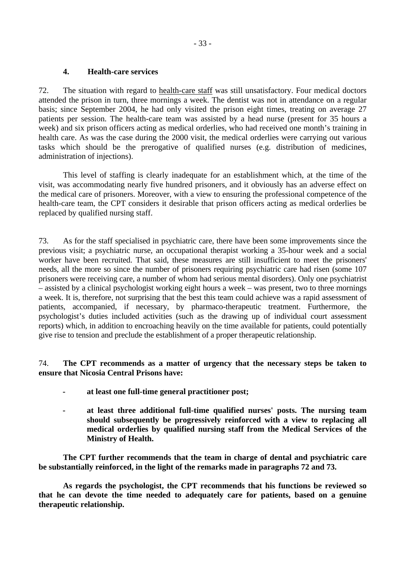#### <span id="page-32-0"></span>**4. Health-care services**

72. The situation with regard to health-care staff was still unsatisfactory. Four medical doctors attended the prison in turn, three mornings a week. The dentist was not in attendance on a regular basis; since September 2004, he had only visited the prison eight times, treating on average 27 patients per session. The health-care team was assisted by a head nurse (present for 35 hours a week) and six prison officers acting as medical orderlies, who had received one month's training in health care. As was the case during the 2000 visit, the medical orderlies were carrying out various tasks which should be the prerogative of qualified nurses (e.g. distribution of medicines, administration of injections).

 This level of staffing is clearly inadequate for an establishment which, at the time of the visit, was accommodating nearly five hundred prisoners, and it obviously has an adverse effect on the medical care of prisoners. Moreover, with a view to ensuring the professional competence of the health-care team, the CPT considers it desirable that prison officers acting as medical orderlies be replaced by qualified nursing staff.

73. As for the staff specialised in psychiatric care, there have been some improvements since the previous visit; a psychiatric nurse, an occupational therapist working a 35-hour week and a social worker have been recruited. That said, these measures are still insufficient to meet the prisoners' needs, all the more so since the number of prisoners requiring psychiatric care had risen (some 107 prisoners were receiving care, a number of whom had serious mental disorders). Only one psychiatrist – assisted by a clinical psychologist working eight hours a week – was present, two to three mornings a week. It is, therefore, not surprising that the best this team could achieve was a rapid assessment of patients, accompanied, if necessary, by pharmaco-therapeutic treatment. Furthermore, the psychologist's duties included activities (such as the drawing up of individual court assessment reports) which, in addition to encroaching heavily on the time available for patients, could potentially give rise to tension and preclude the establishment of a proper therapeutic relationship.

74. **The CPT recommends as a matter of urgency that the necessary steps be taken to ensure that Nicosia Central Prisons have:** 

- **at least one full-time general practitioner post;**
- **at least three additional full-time qualified nurses' posts. The nursing team should subsequently be progressively reinforced with a view to replacing all medical orderlies by qualified nursing staff from the Medical Services of the Ministry of Health.**

 **The CPT further recommends that the team in charge of dental and psychiatric care be substantially reinforced, in the light of the remarks made in paragraphs 72 and 73.** 

 **As regards the psychologist, the CPT recommends that his functions be reviewed so that he can devote the time needed to adequately care for patients, based on a genuine therapeutic relationship.**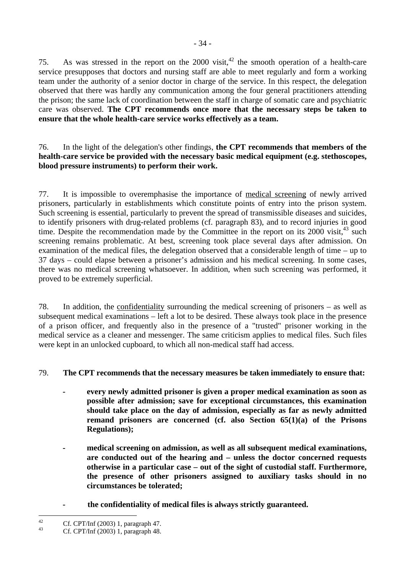75. As was stressed in the report on the 2000 visit,<sup>42</sup> the smooth operation of a health-care service presupposes that doctors and nursing staff are able to meet regularly and form a working team under the authority of a senior doctor in charge of the service. In this respect, the delegation observed that there was hardly any communication among the four general practitioners attending the prison; the same lack of coordination between the staff in charge of somatic care and psychiatric care was observed. **The CPT recommends once more that the necessary steps be taken to ensure that the whole health-care service works effectively as a team.** 

#### 76. In the light of the delegation's other findings, **the CPT recommends that members of the health-care service be provided with the necessary basic medical equipment (e.g. stethoscopes, blood pressure instruments) to perform their work.**

77. It is impossible to overemphasise the importance of medical screening of newly arrived prisoners, particularly in establishments which constitute points of entry into the prison system. Such screening is essential, particularly to prevent the spread of transmissible diseases and suicides, to identify prisoners with drug-related problems (cf. paragraph 83), and to record injuries in good time. Despite the recommendation made by the Committee in the report on its  $2000$  visit,  $43$  such screening remains problematic. At best, screening took place several days after admission. On examination of the medical files, the delegation observed that a considerable length of time – up to 37 days – could elapse between a prisoner's admission and his medical screening. In some cases, there was no medical screening whatsoever. In addition, when such screening was performed, it proved to be extremely superficial.

78. In addition, the confidentiality surrounding the medical screening of prisoners – as well as subsequent medical examinations – left a lot to be desired. These always took place in the presence of a prison officer, and frequently also in the presence of a "trusted" prisoner working in the medical service as a cleaner and messenger. The same criticism applies to medical files. Such files were kept in an unlocked cupboard, to which all non-medical staff had access.

### 79. **The CPT recommends that the necessary measures be taken immediately to ensure that:**

- **every newly admitted prisoner is given a proper medical examination as soon as possible after admission; save for exceptional circumstances, this examination should take place on the day of admission, especially as far as newly admitted remand prisoners are concerned (cf. also Section 65(1)(a) of the Prisons Regulations);**
- **medical screening on admission, as well as all subsequent medical examinations, are conducted out of the hearing and – unless the doctor concerned requests otherwise in a particular case – out of the sight of custodial staff. Furthermore, the presence of other prisoners assigned to auxiliary tasks should in no circumstances be tolerated;**
- **the confidentiality of medical files is always strictly guaranteed.**

<span id="page-33-0"></span> $42$ <sup>42</sup> Cf. CPT/Inf (2003) 1, paragraph 47.

<span id="page-33-1"></span><sup>43</sup> Cf. CPT/Inf (2003) 1, paragraph 48.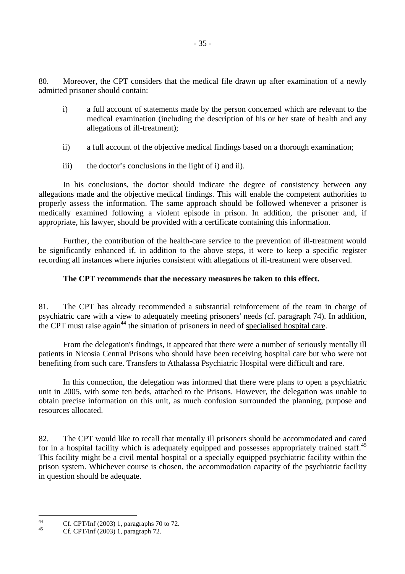80. Moreover, the CPT considers that the medical file drawn up after examination of a newly admitted prisoner should contain:

- i) a full account of statements made by the person concerned which are relevant to the medical examination (including the description of his or her state of health and any allegations of ill-treatment);
- ii) a full account of the objective medical findings based on a thorough examination;
- iii) the doctor's conclusions in the light of i) and ii).

 In his conclusions, the doctor should indicate the degree of consistency between any allegations made and the objective medical findings. This will enable the competent authorities to properly assess the information. The same approach should be followed whenever a prisoner is medically examined following a violent episode in prison. In addition, the prisoner and, if appropriate, his lawyer, should be provided with a certificate containing this information.

 Further, the contribution of the health-care service to the prevention of ill-treatment would be significantly enhanced if, in addition to the above steps, it were to keep a specific register recording all instances where injuries consistent with allegations of ill-treatment were observed.

### **The CPT recommends that the necessary measures be taken to this effect.**

81. The CPT has already recommended a substantial reinforcement of the team in charge of psychiatric care with a view to adequately meeting prisoners' needs (cf. paragraph 74). In addition, the CPT must raise again<sup>44</sup> the situation of prisoners in need of specialised hospital care.

 From the delegation's findings, it appeared that there were a number of seriously mentally ill patients in Nicosia Central Prisons who should have been receiving hospital care but who were not benefiting from such care. Transfers to Athalassa Psychiatric Hospital were difficult and rare.

 In this connection, the delegation was informed that there were plans to open a psychiatric unit in 2005, with some ten beds, attached to the Prisons. However, the delegation was unable to obtain precise information on this unit, as much confusion surrounded the planning, purpose and resources allocated.

82. The CPT would like to recall that mentally ill prisoners should be accommodated and cared for in a hospital facility which is adequately equipped and possesses appropriately trained staff.<sup>[45](#page-34-1)</sup> This facility might be a civil mental hospital or a specially equipped psychiatric facility within the prison system. Whichever course is chosen, the accommodation capacity of the psychiatric facility in question should be adequate.

<span id="page-34-0"></span> $44$ <sup>44</sup> Cf. CPT/Inf (2003) 1, paragraphs 70 to 72.

<span id="page-34-1"></span><sup>45</sup> Cf. CPT/Inf (2003) 1, paragraph 72.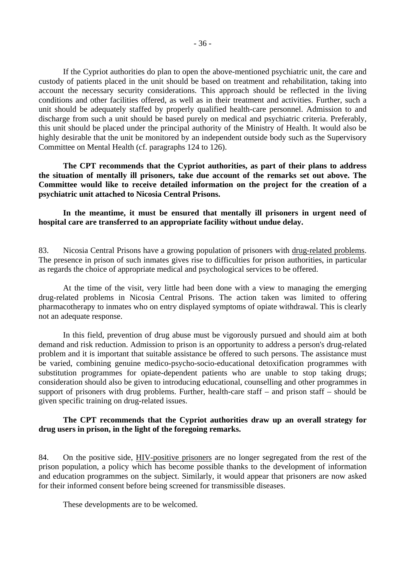conditions and other facilities offered, as well as in their treatment and activities. Further, such a unit should be adequately staffed by properly qualified health-care personnel. Admission to and discharge from such a unit should be based purely on medical and psychiatric criteria. Preferably, this unit should be placed under the principal authority of the Ministry of Health. It would also be highly desirable that the unit be monitored by an independent outside body such as the Supervisory Committee on Mental Health (cf. paragraphs 124 to 126).

**The CPT recommends that the Cypriot authorities, as part of their plans to address the situation of mentally ill prisoners, take due account of the remarks set out above. The Committee would like to receive detailed information on the project for the creation of a psychiatric unit attached to Nicosia Central Prisons.** 

 **In the meantime, it must be ensured that mentally ill prisoners in urgent need of hospital care are transferred to an appropriate facility without undue delay.** 

83. Nicosia Central Prisons have a growing population of prisoners with drug-related problems. The presence in prison of such inmates gives rise to difficulties for prison authorities, in particular as regards the choice of appropriate medical and psychological services to be offered.

 At the time of the visit, very little had been done with a view to managing the emerging drug-related problems in Nicosia Central Prisons. The action taken was limited to offering pharmacotherapy to inmates who on entry displayed symptoms of opiate withdrawal. This is clearly not an adequate response.

 In this field, prevention of drug abuse must be vigorously pursued and should aim at both demand and risk reduction. Admission to prison is an opportunity to address a person's drug-related problem and it is important that suitable assistance be offered to such persons. The assistance must be varied, combining genuine medico-psycho-socio-educational detoxification programmes with substitution programmes for opiate-dependent patients who are unable to stop taking drugs; consideration should also be given to introducing educational, counselling and other programmes in support of prisoners with drug problems. Further, health-care staff – and prison staff – should be given specific training on drug-related issues.

#### **The CPT recommends that the Cypriot authorities draw up an overall strategy for drug users in prison, in the light of the foregoing remarks.**

84. On the positive side, HIV-positive prisoners are no longer segregated from the rest of the prison population, a policy which has become possible thanks to the development of information and education programmes on the subject. Similarly, it would appear that prisoners are now asked for their informed consent before being screened for transmissible diseases.

These developments are to be welcomed.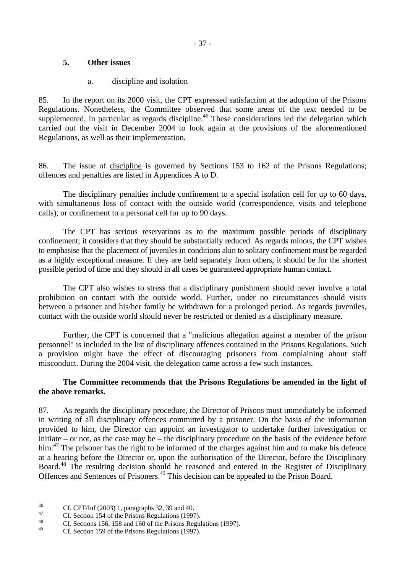# **5. Other issues**

# a. discipline and isolation

85. In the report on its 2000 visit, the CPT expressed satisfaction at the adoption of the Prisons Regulations. Nonetheless, the Committee observed that some areas of the text needed to be supplemented, in particular as regards discipline.<sup>46</sup> These considerations led the delegation which carried out the visit in December 2004 to look again at the provisions of the aforementioned Regulations, as well as their implementation.

86. The issue of discipline is governed by Sections 153 to 162 of the Prisons Regulations; offences and penalties are listed in Appendices A to D.

 The disciplinary penalties include confinement to a special isolation cell for up to 60 days, with simultaneous loss of contact with the outside world (correspondence, visits and telephone calls), or confinement to a personal cell for up to 90 days.

 The CPT has serious reservations as to the maximum possible periods of disciplinary confinement; it considers that they should be substantially reduced. As regards minors, the CPT wishes to emphasise that the placement of juveniles in conditions akin to solitary confinement must be regarded as a highly exceptional measure. If they are held separately from others, it should be for the shortest possible period of time and they should in all cases be guaranteed appropriate human contact.

 The CPT also wishes to stress that a disciplinary punishment should never involve a total prohibition on contact with the outside world. Further, under no circumstances should visits between a prisoner and his/her family be withdrawn for a prolonged period. As regards juveniles, contact with the outside world should never be restricted or denied as a disciplinary measure.

 Further, the CPT is concerned that a "malicious allegation against a member of the prison personnel" is included in the list of disciplinary offences contained in the Prisons Regulations. Such a provision might have the effect of discouraging prisoners from complaining about staff misconduct. During the 2004 visit, the delegation came across a few such instances.

# **The Committee recommends that the Prisons Regulations be amended in the light of the above remarks.**

87. As regards the disciplinary procedure, the Director of Prisons must immediately be informed in writing of all disciplinary offences committed by a prisoner. On the basis of the information provided to him, the Director can appoint an investigator to undertake further investigation or initiate – or not, as the case may be – the disciplinary procedure on the basis of the evidence before him.<sup>47</sup> The prisoner has the right to be informed of the charges against him and to make his defence at a hearing before the Director or, upon the authorisation of the Director, before the Disciplinary Board.<sup>48</sup> The resulting decision should be reasoned and entered in the Register of Disciplinary Offences and Sentences of Prisoners[.49](#page-36-3) This decision can be appealed to the Prison Board.

<span id="page-36-0"></span> $46$ <sup>46</sup> Cf. CPT/Inf (2003) 1, paragraphs 32, 39 and 40.

<span id="page-36-1"></span><sup>&</sup>lt;sup>47</sup> Cf. Section 154 of the Prisons Regulations (1997).

<span id="page-36-2"></span><sup>&</sup>lt;sup>48</sup> Cf. Sections 156, 158 and 160 of the Prisons Regulations (1997).

<span id="page-36-3"></span>Cf. Section 159 of the Prisons Regulations (1997).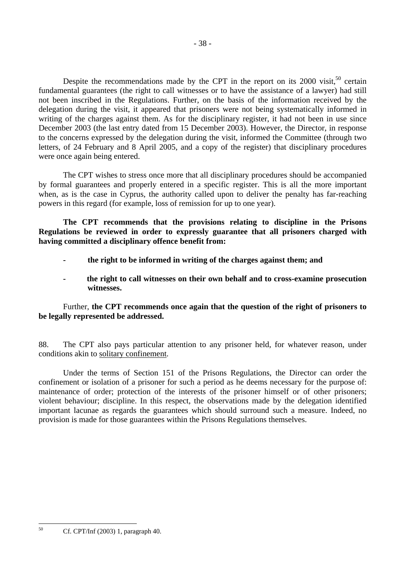delegation during the visit, it appeared that prisoners were not being systematically informed in writing of the charges against them. As for the disciplinary register, it had not been in use since December 2003 (the last entry dated from 15 December 2003). However, the Director, in response to the concerns expressed by the delegation during the visit, informed the Committee (through two letters, of 24 February and 8 April 2005, and a copy of the register) that disciplinary procedures were once again being entered.

 The CPT wishes to stress once more that all disciplinary procedures should be accompanied by formal guarantees and properly entered in a specific register. This is all the more important when, as is the case in Cyprus, the authority called upon to deliver the penalty has far-reaching powers in this regard (for example, loss of remission for up to one year).

 **The CPT recommends that the provisions relating to discipline in the Prisons Regulations be reviewed in order to expressly guarantee that all prisoners charged with having committed a disciplinary offence benefit from:** 

- **the right to be informed in writing of the charges against them; and**
- **the right to call witnesses on their own behalf and to cross-examine prosecution witnesses.**

# Further, **the CPT recommends once again that the question of the right of prisoners to be legally represented be addressed.**

88. The CPT also pays particular attention to any prisoner held, for whatever reason, under conditions akin to solitary confinement.

 Under the terms of Section 151 of the Prisons Regulations, the Director can order the confinement or isolation of a prisoner for such a period as he deems necessary for the purpose of: maintenance of order; protection of the interests of the prisoner himself or of other prisoners; violent behaviour; discipline. In this respect, the observations made by the delegation identified important lacunae as regards the guarantees which should surround such a measure. Indeed, no provision is made for those guarantees within the Prisons Regulations themselves.

 $50$ 

<span id="page-37-0"></span><sup>50</sup> Cf. CPT/Inf (2003) 1, paragraph 40.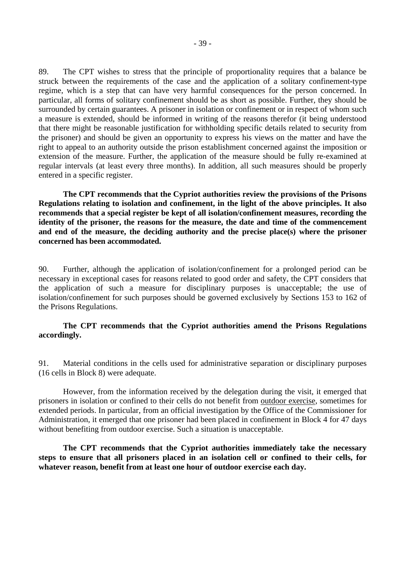89. The CPT wishes to stress that the principle of proportionality requires that a balance be struck between the requirements of the case and the application of a solitary confinement-type regime, which is a step that can have very harmful consequences for the person concerned. In particular, all forms of solitary confinement should be as short as possible. Further, they should be surrounded by certain guarantees. A prisoner in isolation or confinement or in respect of whom such a measure is extended, should be informed in writing of the reasons therefor (it being understood that there might be reasonable justification for withholding specific details related to security from the prisoner) and should be given an opportunity to express his views on the matter and have the right to appeal to an authority outside the prison establishment concerned against the imposition or extension of the measure. Further, the application of the measure should be fully re-examined at regular intervals (at least every three months). In addition, all such measures should be properly entered in a specific register.

**The CPT recommends that the Cypriot authorities review the provisions of the Prisons Regulations relating to isolation and confinement, in the light of the above principles. It also recommends that a special register be kept of all isolation/confinement measures, recording the identity of the prisoner, the reasons for the measure, the date and time of the commencement and end of the measure, the deciding authority and the precise place(s) where the prisoner concerned has been accommodated.** 

90. Further, although the application of isolation/confinement for a prolonged period can be necessary in exceptional cases for reasons related to good order and safety, the CPT considers that the application of such a measure for disciplinary purposes is unacceptable; the use of isolation/confinement for such purposes should be governed exclusively by Sections 153 to 162 of the Prisons Regulations.

# **The CPT recommends that the Cypriot authorities amend the Prisons Regulations accordingly.**

91. Material conditions in the cells used for administrative separation or disciplinary purposes (16 cells in Block 8) were adequate.

 However, from the information received by the delegation during the visit, it emerged that prisoners in isolation or confined to their cells do not benefit from outdoor exercise, sometimes for extended periods. In particular, from an official investigation by the Office of the Commissioner for Administration, it emerged that one prisoner had been placed in confinement in Block 4 for 47 days without benefiting from outdoor exercise. Such a situation is unacceptable.

 **The CPT recommends that the Cypriot authorities immediately take the necessary steps to ensure that all prisoners placed in an isolation cell or confined to their cells, for whatever reason, benefit from at least one hour of outdoor exercise each day.**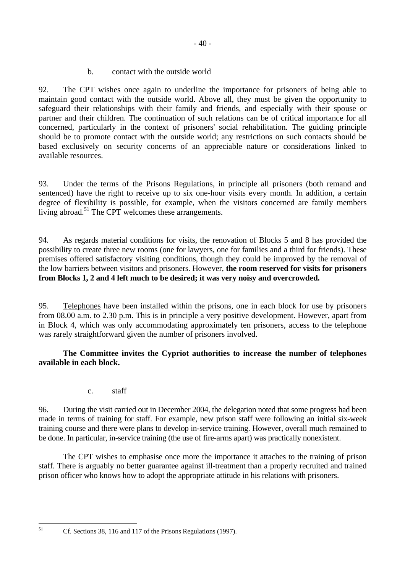b. contact with the outside world

92. The CPT wishes once again to underline the importance for prisoners of being able to maintain good contact with the outside world. Above all, they must be given the opportunity to safeguard their relationships with their family and friends, and especially with their spouse or partner and their children. The continuation of such relations can be of critical importance for all concerned, particularly in the context of prisoners' social rehabilitation. The guiding principle should be to promote contact with the outside world; any restrictions on such contacts should be based exclusively on security concerns of an appreciable nature or considerations linked to available resources.

93. Under the terms of the Prisons Regulations, in principle all prisoners (both remand and sentenced) have the right to receive up to six one-hour visits every month. In addition, a certain degree of flexibility is possible, for example, when the visitors concerned are family members living abroad.<sup>51</sup> The CPT welcomes these arrangements.

94. As regards material conditions for visits, the renovation of Blocks 5 and 8 has provided the possibility to create three new rooms (one for lawyers, one for families and a third for friends). These premises offered satisfactory visiting conditions, though they could be improved by the removal of the low barriers between visitors and prisoners. However, **the room reserved for visits for prisoners from Blocks 1, 2 and 4 left much to be desired; it was very noisy and overcrowded.** 

95. Telephones have been installed within the prisons, one in each block for use by prisoners from 08.00 a.m. to 2.30 p.m. This is in principle a very positive development. However, apart from in Block 4, which was only accommodating approximately ten prisoners, access to the telephone was rarely straightforward given the number of prisoners involved.

# **The Committee invites the Cypriot authorities to increase the number of telephones available in each block.**

c. staff

96. During the visit carried out in December 2004, the delegation noted that some progress had been made in terms of training for staff. For example, new prison staff were following an initial six-week training course and there were plans to develop in-service training. However, overall much remained to be done. In particular, in-service training (the use of fire-arms apart) was practically nonexistent.

 The CPT wishes to emphasise once more the importance it attaches to the training of prison staff. There is arguably no better guarantee against ill-treatment than a properly recruited and trained prison officer who knows how to adopt the appropriate attitude in his relations with prisoners.

<span id="page-39-0"></span> $51$ 

Cf. Sections 38, 116 and 117 of the Prisons Regulations (1997).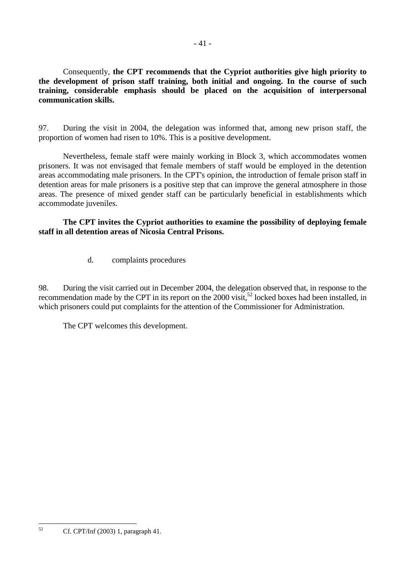Consequently, **the CPT recommends that the Cypriot authorities give high priority to the development of prison staff training, both initial and ongoing. In the course of such training, considerable emphasis should be placed on the acquisition of interpersonal communication skills.** 

97. During the visit in 2004, the delegation was informed that, among new prison staff, the proportion of women had risen to 10%. This is a positive development.

 Nevertheless, female staff were mainly working in Block 3, which accommodates women prisoners. It was not envisaged that female members of staff would be employed in the detention areas accommodating male prisoners. In the CPT's opinion, the introduction of female prison staff in detention areas for male prisoners is a positive step that can improve the general atmosphere in those areas. The presence of mixed gender staff can be particularly beneficial in establishments which accommodate juveniles.

 **The CPT invites the Cypriot authorities to examine the possibility of deploying female staff in all detention areas of Nicosia Central Prisons.** 

d. complaints procedures

98. During the visit carried out in December 2004, the delegation observed that, in response to the recommendation made by the CPT in its report on the 2000 visit,<sup>52</sup> locked boxes had been installed, in which prisoners could put complaints for the attention of the Commissioner for Administration.

The CPT welcomes this development.

<span id="page-40-0"></span> $52$ 52 Cf. CPT/Inf (2003) 1, paragraph 41.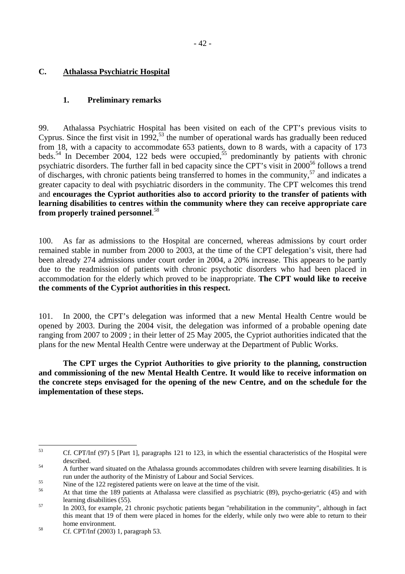# **C. Athalassa Psychiatric Hospital**

# **1. Preliminary remarks**

99. Athalassa Psychiatric Hospital has been visited on each of the CPT's previous visits to Cyprus. Since the first visit in  $1992$ <sup>53</sup>, the number of operational wards has gradually been reduced from 18, with a capacity to accommodate 653 patients, down to 8 wards, with a capacity of 173 beds.<sup>54</sup> In December 2004, 122 beds were occupied,<sup>55</sup> predominantly by patients with chronic psychiatric disorders. The further fall in bed capacity since the CPT's visit in 200[056](#page-41-3) follows a trend of discharges, with chronic patients being transferred to homes in the community,  $57$  and indicates a greater capacity to deal with psychiatric disorders in the community. The CPT welcomes this trend and **encourages the Cypriot authorities also to accord priority to the transfer of patients with learning disabilities to centres within the community where they can receive appropriate care from properly trained personnel**. [58](#page-41-5)

100. As far as admissions to the Hospital are concerned, whereas admissions by court order remained stable in number from 2000 to 2003, at the time of the CPT delegation's visit, there had been already 274 admissions under court order in 2004, a 20% increase. This appears to be partly due to the readmission of patients with chronic psychotic disorders who had been placed in accommodation for the elderly which proved to be inappropriate. **The CPT would like to receive the comments of the Cypriot authorities in this respect.** 

101. In 2000, the CPT's delegation was informed that a new Mental Health Centre would be opened by 2003. During the 2004 visit, the delegation was informed of a probable opening date ranging from 2007 to 2009 ; in their letter of 25 May 2005, the Cypriot authorities indicated that the plans for the new Mental Health Centre were underway at the Department of Public Works.

 **The CPT urges the Cypriot Authorities to give priority to the planning, construction and commissioning of the new Mental Health Centre. It would like to receive information on the concrete steps envisaged for the opening of the new Centre, and on the schedule for the implementation of these steps.** 

<span id="page-41-0"></span><sup>53</sup> 53 Cf. CPT/Inf (97) 5 [Part 1], paragraphs 121 to 123, in which the essential characteristics of the Hospital were described.<br>
54 A further ward situated on the Athalassa grounds accommodates children with severe learning disabilities. It is

<span id="page-41-1"></span>

<span id="page-41-3"></span><span id="page-41-2"></span>

run under the authority of the Ministry of Labour and Social Services.<br>
So Sime of the 122 registered patients were on leave at the time of the visit.<br>
At that time the 189 patients at Athalassa were classified as psychiat

<span id="page-41-4"></span>learning disabilities (55). 57 In 2003, for example, 21 chronic psychotic patients began "rehabilitation in the community", although in fact this meant that 19 of them were placed in homes for the elderly, while only two were able to return to their

<span id="page-41-5"></span>home environment.<br><sup>58</sup> Cf. CPT/Inf (2003) 1, paragraph 53.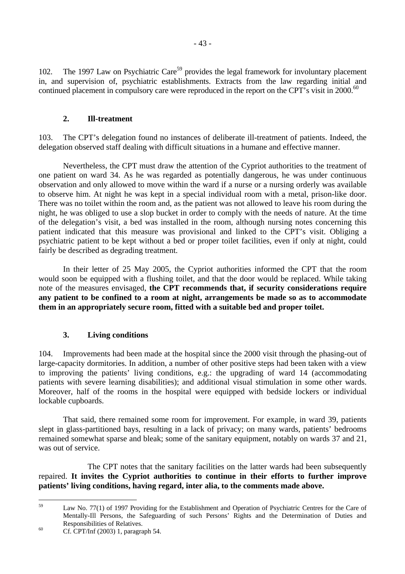102. The 1997 Law on Psychiatric Care<sup>59</sup> provides the legal framework for involuntary placement in, and supervision of, psychiatric establishments. Extracts from the law regarding initial and continued placement in compulsory care were reproduced in the report on the CPT's visit in 2000.<sup>60</sup>

# **2. Ill-treatment**

103. The CPT's delegation found no instances of deliberate ill-treatment of patients. Indeed, the delegation observed staff dealing with difficult situations in a humane and effective manner.

 Nevertheless, the CPT must draw the attention of the Cypriot authorities to the treatment of one patient on ward 34. As he was regarded as potentially dangerous, he was under continuous observation and only allowed to move within the ward if a nurse or a nursing orderly was available to observe him. At night he was kept in a special individual room with a metal, prison-like door. There was no toilet within the room and, as the patient was not allowed to leave his room during the night, he was obliged to use a slop bucket in order to comply with the needs of nature. At the time of the delegation's visit, a bed was installed in the room, although nursing notes concerning this patient indicated that this measure was provisional and linked to the CPT's visit. Obliging a psychiatric patient to be kept without a bed or proper toilet facilities, even if only at night, could fairly be described as degrading treatment.

 In their letter of 25 May 2005, the Cypriot authorities informed the CPT that the room would soon be equipped with a flushing toilet, and that the door would be replaced. While taking note of the measures envisaged, **the CPT recommends that, if security considerations require any patient to be confined to a room at night, arrangements be made so as to accommodate them in an appropriately secure room, fitted with a suitable bed and proper toilet.**

# **3. Living conditions**

104. Improvements had been made at the hospital since the 2000 visit through the phasing-out of large-capacity dormitories. In addition, a number of other positive steps had been taken with a view to improving the patients' living conditions, e.g.: the upgrading of ward 14 (accommodating patients with severe learning disabilities); and additional visual stimulation in some other wards. Moreover, half of the rooms in the hospital were equipped with bedside lockers or individual lockable cupboards.

 That said, there remained some room for improvement. For example, in ward 39, patients slept in glass-partitioned bays, resulting in a lack of privacy; on many wards, patients' bedrooms remained somewhat sparse and bleak; some of the sanitary equipment, notably on wards 37 and 21, was out of service.

The CPT notes that the sanitary facilities on the latter wards had been subsequently repaired. **It invites the Cypriot authorities to continue in their efforts to further improve patients' living conditions, having regard, inter alia, to the comments made above.** 

<span id="page-42-0"></span><sup>59</sup> Law No. 77(1) of 1997 Providing for the Establishment and Operation of Psychiatric Centres for the Care of Mentally-Ill Persons, the Safeguarding of such Persons' Rights and the Determination of Duties and Responsibilities of Relatives.<br>
Cf. CPT/Inf (2003) 1, paragraph 54.

<span id="page-42-1"></span>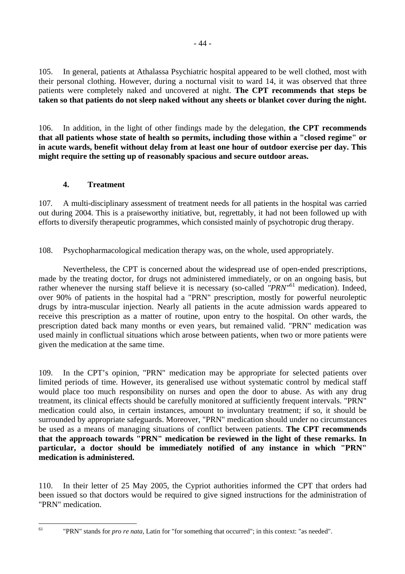105. In general, patients at Athalassa Psychiatric hospital appeared to be well clothed, most with their personal clothing. However, during a nocturnal visit to ward 14, it was observed that three patients were completely naked and uncovered at night. **The CPT recommends that steps be taken so that patients do not sleep naked without any sheets or blanket cover during the night.**

106. In addition, in the light of other findings made by the delegation, **the CPT recommends that all patients whose state of health so permits, including those within a "closed regime" or in acute wards, benefit without delay from at least one hour of outdoor exercise per day. This might require the setting up of reasonably spacious and secure outdoor areas.** 

# **4. Treatment**

<span id="page-43-0"></span> $61$ 

107. A multi-disciplinary assessment of treatment needs for all patients in the hospital was carried out during 2004. This is a praiseworthy initiative, but, regrettably, it had not been followed up with efforts to diversify therapeutic programmes, which consisted mainly of psychotropic drug therapy.

108. Psychopharmacological medication therapy was, on the whole, used appropriately.

 Nevertheless, the CPT is concerned about the widespread use of open-ended prescriptions, made by the treating doctor, for drugs not administered immediately, or on an ongoing basis, but rather whenever the nursing staff believe it is necessary (so-called *"PRN"*<sup>[61](#page-43-0)</sup> medication). Indeed, over 90% of patients in the hospital had a "PRN" prescription, mostly for powerful neuroleptic drugs by intra-muscular injection. Nearly all patients in the acute admission wards appeared to receive this prescription as a matter of routine, upon entry to the hospital. On other wards, the prescription dated back many months or even years, but remained valid. "PRN" medication was used mainly in conflictual situations which arose between patients, when two or more patients were given the medication at the same time.

109. In the CPT's opinion, "PRN" medication may be appropriate for selected patients over limited periods of time. However, its generalised use without systematic control by medical staff would place too much responsibility on nurses and open the door to abuse. As with any drug treatment, its clinical effects should be carefully monitored at sufficiently frequent intervals. "PRN" medication could also, in certain instances, amount to involuntary treatment; if so, it should be surrounded by appropriate safeguards. Moreover, "PRN" medication should under no circumstances be used as a means of managing situations of conflict between patients. **The CPT recommends that the approach towards "PRN" medication be reviewed in the light of these remarks. In particular, a doctor should be immediately notified of any instance in which "PRN" medication is administered.** 

110. In their letter of 25 May 2005, the Cypriot authorities informed the CPT that orders had been issued so that doctors would be required to give signed instructions for the administration of "PRN" medication.

<sup>&</sup>quot;PRN" stands for *pro re nata*, Latin for "for something that occurred"; in this context: "as needed".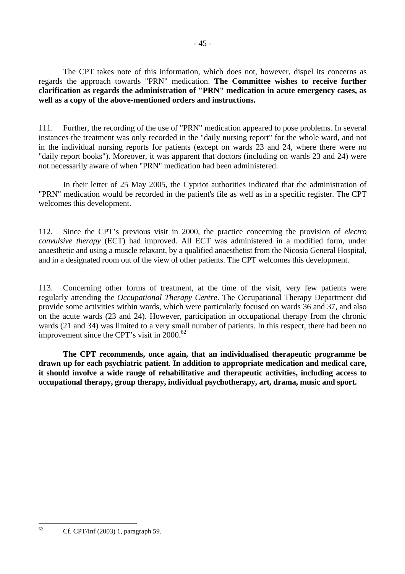The CPT takes note of this information, which does not, however, dispel its concerns as regards the approach towards "PRN" medication. **The Committee wishes to receive further clarification as regards the administration of "PRN" medication in acute emergency cases, as well as a copy of the above-mentioned orders and instructions.** 

111. Further, the recording of the use of "PRN" medication appeared to pose problems. In several instances the treatment was only recorded in the "daily nursing report" for the whole ward, and not in the individual nursing reports for patients (except on wards 23 and 24, where there were no "daily report books"). Moreover, it was apparent that doctors (including on wards 23 and 24) were not necessarily aware of when "PRN" medication had been administered.

In their letter of 25 May 2005, the Cypriot authorities indicated that the administration of "PRN" medication would be recorded in the patient's file as well as in a specific register. The CPT welcomes this development.

112. Since the CPT's previous visit in 2000, the practice concerning the provision of *electro convulsive therapy* (ECT) had improved. All ECT was administered in a modified form, under anaesthetic and using a muscle relaxant, by a qualified anaesthetist from the Nicosia General Hospital, and in a designated room out of the view of other patients. The CPT welcomes this development.

113. Concerning other forms of treatment, at the time of the visit, very few patients were regularly attending the *Occupational Therapy Centre*. The Occupational Therapy Department did provide some activities within wards, which were particularly focused on wards 36 and 37, and also on the acute wards (23 and 24). However, participation in occupational therapy from the chronic wards (21 and 34) was limited to a very small number of patients. In this respect, there had been no improvement since the CPT's visit in 2000.<sup>62</sup>

**The CPT recommends, once again, that an individualised therapeutic programme be drawn up for each psychiatric patient. In addition to appropriate medication and medical care, it should involve a wide range of rehabilitative and therapeutic activities, including access to occupational therapy, group therapy, individual psychotherapy, art, drama, music and sport.** 

<span id="page-44-0"></span> $62$ 62 Cf. CPT/Inf (2003) 1, paragraph 59.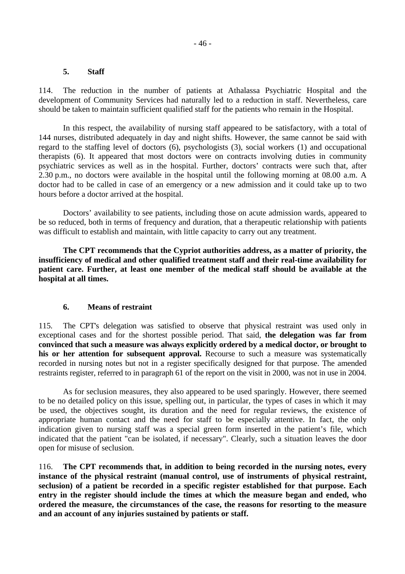#### **5. Staff**

114. The reduction in the number of patients at Athalassa Psychiatric Hospital and the development of Community Services had naturally led to a reduction in staff. Nevertheless, care should be taken to maintain sufficient qualified staff for the patients who remain in the Hospital.

 In this respect, the availability of nursing staff appeared to be satisfactory, with a total of 144 nurses, distributed adequately in day and night shifts. However, the same cannot be said with regard to the staffing level of doctors (6), psychologists (3), social workers (1) and occupational therapists (6). It appeared that most doctors were on contracts involving duties in community psychiatric services as well as in the hospital. Further, doctors' contracts were such that, after 2.30 p.m., no doctors were available in the hospital until the following morning at 08.00 a.m. A doctor had to be called in case of an emergency or a new admission and it could take up to two hours before a doctor arrived at the hospital.

 Doctors' availability to see patients, including those on acute admission wards, appeared to be so reduced, both in terms of frequency and duration, that a therapeutic relationship with patients was difficult to establish and maintain, with little capacity to carry out any treatment.

**The CPT recommends that the Cypriot authorities address, as a matter of priority, the insufficiency of medical and other qualified treatment staff and their real-time availability for patient care. Further, at least one member of the medical staff should be available at the hospital at all times.** 

#### **6. Means of restraint**

115. The CPT's delegation was satisfied to observe that physical restraint was used only in exceptional cases and for the shortest possible period. That said, **the delegation was far from convinced that such a measure was always explicitly ordered by a medical doctor, or brought to his or her attention for subsequent approval.** Recourse to such a measure was systematically recorded in nursing notes but not in a register specifically designed for that purpose. The amended restraints register, referred to in paragraph 61 of the report on the visit in 2000, was not in use in 2004.

 As for seclusion measures, they also appeared to be used sparingly. However, there seemed to be no detailed policy on this issue, spelling out, in particular, the types of cases in which it may be used, the objectives sought, its duration and the need for regular reviews, the existence of appropriate human contact and the need for staff to be especially attentive. In fact, the only indication given to nursing staff was a special green form inserted in the patient's file, which indicated that the patient "can be isolated, if necessary". Clearly, such a situation leaves the door open for misuse of seclusion.

116. **The CPT recommends that, in addition to being recorded in the nursing notes, every instance of the physical restraint (manual control, use of instruments of physical restraint, seclusion) of a patient be recorded in a specific register established for that purpose. Each entry in the register should include the times at which the measure began and ended, who ordered the measure, the circumstances of the case, the reasons for resorting to the measure and an account of any injuries sustained by patients or staff.**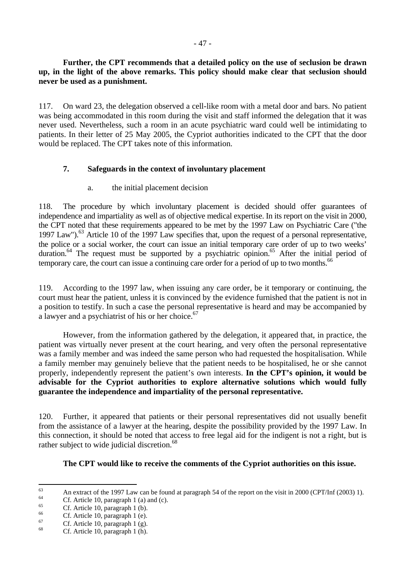# **Further, the CPT recommends that a detailed policy on the use of seclusion be drawn up, in the light of the above remarks. This policy should make clear that seclusion should never be used as a punishment.**

117. On ward 23, the delegation observed a cell-like room with a metal door and bars. No patient was being accommodated in this room during the visit and staff informed the delegation that it was never used. Nevertheless, such a room in an acute psychiatric ward could well be intimidating to patients. In their letter of 25 May 2005, the Cypriot authorities indicated to the CPT that the door would be replaced. The CPT takes note of this information.

# **7. Safeguards in the context of involuntary placement**

# a. the initial placement decision

118. The procedure by which involuntary placement is decided should offer guarantees of independence and impartiality as well as of objective medical expertise. In its report on the visit in 2000, the CPT noted that these requirements appeared to be met by the 1997 Law on Psychiatric Care ("the 1997 Law").<sup>63</sup> Article 10 of the 1997 Law specifies that, upon the request of a personal representative, the police or a social worker, the court can issue an initial temporary care order of up to two weeks' duration.<sup>64</sup> The request must be supported by a psychiatric opinion.<sup>65</sup> After the initial period of temporary care, the court can issue a continuing care order for a period of up to two months.<sup>66</sup>

119. According to the 1997 law, when issuing any care order, be it temporary or continuing, the court must hear the patient, unless it is convinced by the evidence furnished that the patient is not in a position to testify. In such a case the personal representative is heard and may be accompanied by a lawyer and a psychiatrist of his or her choice.<sup>67</sup>

 However, from the information gathered by the delegation, it appeared that, in practice, the patient was virtually never present at the court hearing, and very often the personal representative was a family member and was indeed the same person who had requested the hospitalisation. While a family member may genuinely believe that the patient needs to be hospitalised, he or she cannot properly, independently represent the patient's own interests. **In the CPT's opinion, it would be advisable for the Cypriot authorities to explore alternative solutions which would fully guarantee the independence and impartiality of the personal representative.** 

120. Further, it appeared that patients or their personal representatives did not usually benefit from the assistance of a lawyer at the hearing, despite the possibility provided by the 1997 Law. In this connection, it should be noted that access to free legal aid for the indigent is not a right, but is rather subject to wide judicial discretion.<sup>68</sup>

# **The CPT would like to receive the comments of the Cypriot authorities on this issue.**

<span id="page-46-0"></span><sup>63</sup> 63 An extract of the 1997 Law can be found at paragraph 54 of the report on the visit in 2000 (CPT/Inf (2003) 1).

<span id="page-46-1"></span> $^{64}$  Cf. Article 10, paragraph 1 (a) and (c).

<span id="page-46-2"></span><sup>&</sup>lt;sup>65</sup> Cf. Article 10, paragraph 1 (b).

<span id="page-46-3"></span> $^{66}$  Cf. Article 10, paragraph 1 (e).

<span id="page-46-4"></span> $^{67}$  Cf. Article 10, paragraph 1 (g).

<span id="page-46-5"></span>Cf. Article 10, paragraph 1 (h).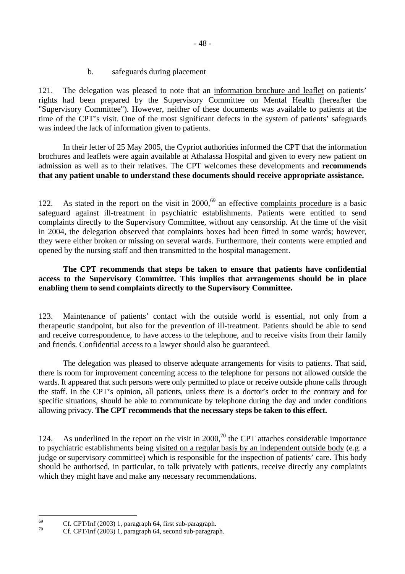b. safeguards during placement

121. The delegation was pleased to note that an information brochure and leaflet on patients' rights had been prepared by the Supervisory Committee on Mental Health (hereafter the "Supervisory Committee"). However, neither of these documents was available to patients at the time of the CPT's visit. One of the most significant defects in the system of patients' safeguards was indeed the lack of information given to patients.

 In their letter of 25 May 2005, the Cypriot authorities informed the CPT that the information brochures and leaflets were again available at Athalassa Hospital and given to every new patient on admission as well as to their relatives. The CPT welcomes these developments and **recommends that any patient unable to understand these documents should receive appropriate assistance.**

122. As stated in the report on the visit in  $2000<sup>69</sup>$  an effective complaints procedure is a basic safeguard against ill-treatment in psychiatric establishments. Patients were entitled to send complaints directly to the Supervisory Committee, without any censorship. At the time of the visit in 2004, the delegation observed that complaints boxes had been fitted in some wards; however, they were either broken or missing on several wards. Furthermore, their contents were emptied and opened by the nursing staff and then transmitted to the hospital management.

# **The CPT recommends that steps be taken to ensure that patients have confidential access to the Supervisory Committee. This implies that arrangements should be in place enabling them to send complaints directly to the Supervisory Committee.**

123. Maintenance of patients' contact with the outside world is essential, not only from a therapeutic standpoint, but also for the prevention of ill-treatment. Patients should be able to send and receive correspondence, to have access to the telephone, and to receive visits from their family and friends. Confidential access to a lawyer should also be guaranteed.

 The delegation was pleased to observe adequate arrangements for visits to patients. That said, there is room for improvement concerning access to the telephone for persons not allowed outside the wards. It appeared that such persons were only permitted to place or receive outside phone calls through the staff. In the CPT's opinion, all patients, unless there is a doctor's order to the contrary and for specific situations, should be able to communicate by telephone during the day and under conditions allowing privacy. **The CPT recommends that the necessary steps be taken to this effect.**

124. As underlined in the report on the visit in 2000,<sup>70</sup> the CPT attaches considerable importance to psychiatric establishments being visited on a regular basis by an independent outside body (e.g. a judge or supervisory committee) which is responsible for the inspection of patients' care. This body should be authorised, in particular, to talk privately with patients, receive directly any complaints which they might have and make any necessary recommendations.

<span id="page-47-0"></span><sup>69</sup> <sup>69</sup> Cf. CPT/Inf (2003) 1, paragraph 64, first sub-paragraph.

<span id="page-47-1"></span>Cf. CPT/Inf (2003) 1, paragraph 64, second sub-paragraph.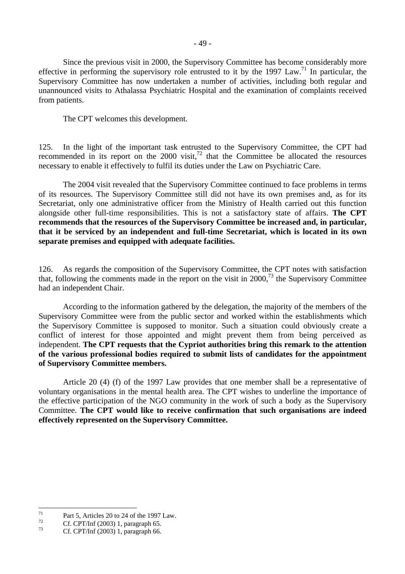Since the previous visit in 2000, the Supervisory Committee has become considerably more effective in performing the supervisory role entrusted to it by the 1997 Law.<sup>71</sup> In particular, the Supervisory Committee has now undertaken a number of activities, including both regular and unannounced visits to Athalassa Psychiatric Hospital and the examination of complaints received from patients.

The CPT welcomes this development.

125. In the light of the important task entrusted to the Supervisory Committee, the CPT had recommended in its report on the  $2000$  visit,<sup>72</sup> that the Committee be allocated the resources necessary to enable it effectively to fulfil its duties under the Law on Psychiatric Care.

 The 2004 visit revealed that the Supervisory Committee continued to face problems in terms of its resources. The Supervisory Committee still did not have its own premises and, as for its Secretariat, only one administrative officer from the Ministry of Health carried out this function alongside other full-time responsibilities. This is not a satisfactory state of affairs. **The CPT recommends that the resources of the Supervisory Committee be increased and, in particular, that it be serviced by an independent and full-time Secretariat, which is located in its own separate premises and equipped with adequate facilities.**

126. As regards the composition of the Supervisory Committee, the CPT notes with satisfaction that, following the comments made in the report on the visit in  $2000<sup>73</sup>$ , the Supervisory Committee had an independent Chair.

 According to the information gathered by the delegation, the majority of the members of the Supervisory Committee were from the public sector and worked within the establishments which the Supervisory Committee is supposed to monitor. Such a situation could obviously create a conflict of interest for those appointed and might prevent them from being perceived as independent. **The CPT requests that the Cypriot authorities bring this remark to the attention of the various professional bodies required to submit lists of candidates for the appointment of Supervisory Committee members.**

 Article 20 (4) (f) of the 1997 Law provides that one member shall be a representative of voluntary organisations in the mental health area. The CPT wishes to underline the importance of the effective participation of the NGO community in the work of such a body as the Supervisory Committee. **The CPT would like to receive confirmation that such organisations are indeed effectively represented on the Supervisory Committee.**

<span id="page-48-0"></span> $71$ <sup>71</sup> Part 5, Articles 20 to 24 of the 1997 Law.

<span id="page-48-1"></span><sup>&</sup>lt;sup>72</sup> Cf. CPT/Inf (2003) 1, paragraph 65.

<span id="page-48-2"></span>Cf. CPT/Inf (2003) 1, paragraph 66.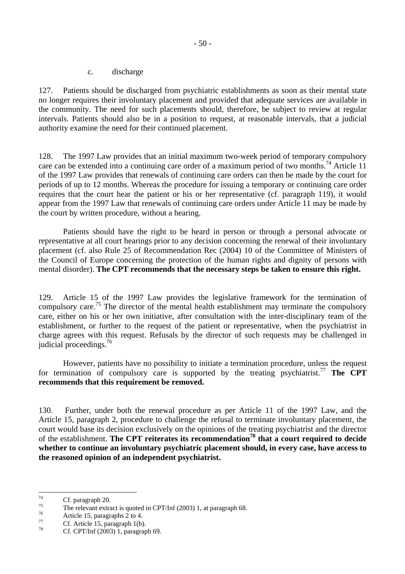c. discharge

127. Patients should be discharged from psychiatric establishments as soon as their mental state no longer requires their involuntary placement and provided that adequate services are available in the community. The need for such placements should, therefore, be subject to review at regular intervals. Patients should also be in a position to request, at reasonable intervals, that a judicial authority examine the need for their continued placement.

128. The 1997 Law provides that an initial maximum two-week period of temporary compulsory care can be extended into a continuing care order of a maximum period of two months.<sup>74</sup> Article 11 of the 1997 Law provides that renewals of continuing care orders can then be made by the court for periods of up to 12 months. Whereas the procedure for issuing a temporary or continuing care order requires that the court hear the patient or his or her representative (cf. paragraph 119), it would appear from the 1997 Law that renewals of continuing care orders under Article 11 may be made by the court by written procedure, without a hearing.

 Patients should have the right to be heard in person or through a personal advocate or representative at all court hearings prior to any decision concerning the renewal of their involuntary placement (cf. also Rule 25 of Recommendation Rec (2004) 10 of the Committee of Ministers of the Council of Europe concerning the protection of the human rights and dignity of persons with mental disorder). **The CPT recommends that the necessary steps be taken to ensure this right.**

129. Article 15 of the 1997 Law provides the legislative framework for the termination of compulsory care[.75](#page-49-1) The director of the mental health establishment may terminate the compulsory care, either on his or her own initiative, after consultation with the inter-disciplinary team of the establishment, or further to the request of the patient or representative, when the psychiatrist in charge agrees with this request. Refusals by the director of such requests may be challenged in judicial proceedings.<sup>[76](#page-49-2)</sup>

 However, patients have no possibility to initiate a termination procedure, unless the request for termination of compulsory care is supported by the treating psychiatrist.<sup>[77](#page-49-3)</sup> **The CPT recommends that this requirement be removed.**

130. Further, under both the renewal procedure as per Article 11 of the 1997 Law, and the Article 15, paragraph 2, procedure to challenge the refusal to terminate involuntary placement, the court would base its decision exclusively on the opinions of the treating psychiatrist and the director of the establishment. **The CPT reiterates its recommendatio[n78](#page-49-4) that a court required to decide whether to continue an involuntary psychiatric placement should, in every case, have access to the reasoned opinion of an independent psychiatrist.** 

<span id="page-49-0"></span> $74$  $\frac{74}{75}$  Cf. paragraph 20.

<span id="page-49-1"></span><sup>&</sup>lt;sup>75</sup> The relevant extract is quoted in CPT/Inf (2003) 1, at paragraph 68.

<span id="page-49-2"></span> $\frac{76}{77}$  Article 15, paragraphs 2 to 4.

<span id="page-49-3"></span> $\frac{77}{28}$  Cf. Article 15, paragraph 1(b).

<span id="page-49-4"></span>Cf. CPT/Inf (2003) 1, paragraph 69.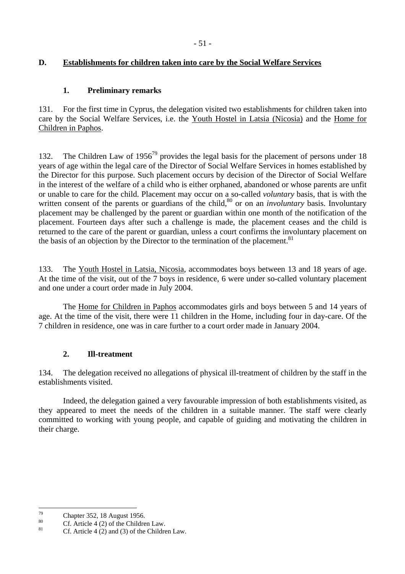# **D. Establishments for children taken into care by the Social Welfare Services**

# **1. Preliminary remarks**

131. For the first time in Cyprus, the delegation visited two establishments for children taken into care by the Social Welfare Services, i.e. the Youth Hostel in Latsia (Nicosia) and the Home for Children in Paphos.

132. The Children Law of 1956<sup>79</sup> provides the legal basis for the placement of persons under 18 years of age within the legal care of the Director of Social Welfare Services in homes established by the Director for this purpose. Such placement occurs by decision of the Director of Social Welfare in the interest of the welfare of a child who is either orphaned, abandoned or whose parents are unfit or unable to care for the child. Placement may occur on a so-called *voluntary* basis, that is with the written consent of the parents or guardians of the child,<sup>80</sup> or on an *involuntary* basis. Involuntary placement may be challenged by the parent or guardian within one month of the notification of the placement. Fourteen days after such a challenge is made, the placement ceases and the child is returned to the care of the parent or guardian, unless a court confirms the involuntary placement on the basis of an objection by the Director to the termination of the placement.<sup>81</sup>

133. The Youth Hostel in Latsia, Nicosia, accommodates boys between 13 and 18 years of age. At the time of the visit, out of the 7 boys in residence, 6 were under so-called voluntary placement and one under a court order made in July 2004.

 The Home for Children in Paphos accommodates girls and boys between 5 and 14 years of age. At the time of the visit, there were 11 children in the Home, including four in day-care. Of the 7 children in residence, one was in care further to a court order made in January 2004.

# **2. Ill-treatment**

134. The delegation received no allegations of physical ill-treatment of children by the staff in the establishments visited.

 Indeed, the delegation gained a very favourable impression of both establishments visited, as they appeared to meet the needs of the children in a suitable manner. The staff were clearly committed to working with young people, and capable of guiding and motivating the children in their charge.

<span id="page-50-0"></span> $70$  $^{79}$  Chapter 352, 18 August 1956.

<span id="page-50-1"></span> $\frac{80}{181}$  Cf. Article 4 (2) of the Children Law.

<span id="page-50-2"></span>Cf. Article  $4$  (2) and (3) of the Children Law.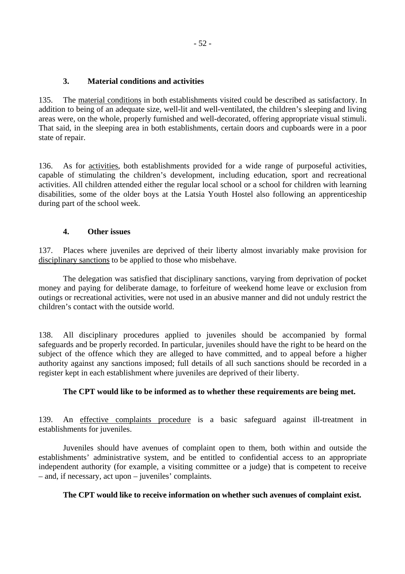# **3. Material conditions and activities**

135. The material conditions in both establishments visited could be described as satisfactory. In addition to being of an adequate size, well-lit and well-ventilated, the children's sleeping and living areas were, on the whole, properly furnished and well-decorated, offering appropriate visual stimuli. That said, in the sleeping area in both establishments, certain doors and cupboards were in a poor state of repair.

136. As for activities, both establishments provided for a wide range of purposeful activities, capable of stimulating the children's development, including education, sport and recreational activities. All children attended either the regular local school or a school for children with learning disabilities, some of the older boys at the Latsia Youth Hostel also following an apprenticeship during part of the school week.

# **4. Other issues**

137. Places where juveniles are deprived of their liberty almost invariably make provision for disciplinary sanctions to be applied to those who misbehave.

 The delegation was satisfied that disciplinary sanctions, varying from deprivation of pocket money and paying for deliberate damage, to forfeiture of weekend home leave or exclusion from outings or recreational activities, were not used in an abusive manner and did not unduly restrict the children's contact with the outside world.

138. All disciplinary procedures applied to juveniles should be accompanied by formal safeguards and be properly recorded. In particular, juveniles should have the right to be heard on the subject of the offence which they are alleged to have committed, and to appeal before a higher authority against any sanctions imposed; full details of all such sanctions should be recorded in a register kept in each establishment where juveniles are deprived of their liberty.

# **The CPT would like to be informed as to whether these requirements are being met.**

139. An effective complaints procedure is a basic safeguard against ill-treatment in establishments for juveniles.

 Juveniles should have avenues of complaint open to them, both within and outside the establishments' administrative system, and be entitled to confidential access to an appropriate independent authority (for example, a visiting committee or a judge) that is competent to receive – and, if necessary, act upon – juveniles' complaints.

## **The CPT would like to receive information on whether such avenues of complaint exist.**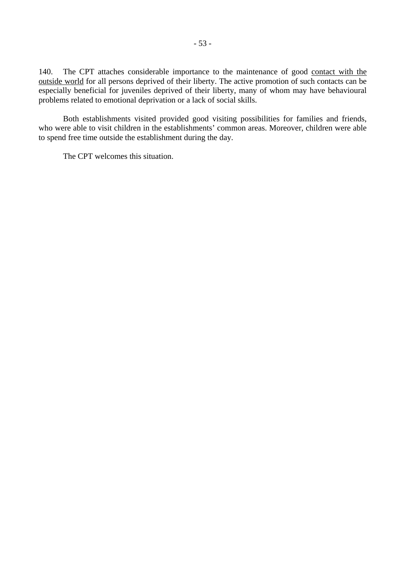140. The CPT attaches considerable importance to the maintenance of good contact with the outside world for all persons deprived of their liberty. The active promotion of such contacts can be especially beneficial for juveniles deprived of their liberty, many of whom may have behavioural problems related to emotional deprivation or a lack of social skills.

 Both establishments visited provided good visiting possibilities for families and friends, who were able to visit children in the establishments' common areas. Moreover, children were able to spend free time outside the establishment during the day.

The CPT welcomes this situation.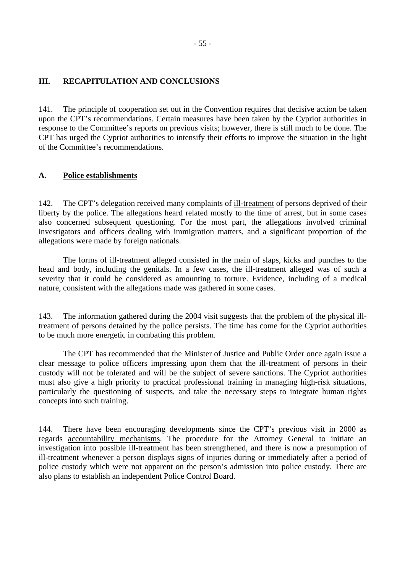## **III. RECAPITULATION AND CONCLUSIONS**

141. The principle of cooperation set out in the Convention requires that decisive action be taken upon the CPT's recommendations. Certain measures have been taken by the Cypriot authorities in response to the Committee's reports on previous visits; however, there is still much to be done. The CPT has urged the Cypriot authorities to intensify their efforts to improve the situation in the light of the Committee's recommendations.

## **A. Police establishments**

142. The CPT's delegation received many complaints of ill-treatment of persons deprived of their liberty by the police. The allegations heard related mostly to the time of arrest, but in some cases also concerned subsequent questioning. For the most part, the allegations involved criminal investigators and officers dealing with immigration matters, and a significant proportion of the allegations were made by foreign nationals.

 The forms of ill-treatment alleged consisted in the main of slaps, kicks and punches to the head and body, including the genitals. In a few cases, the ill-treatment alleged was of such a severity that it could be considered as amounting to torture. Evidence, including of a medical nature, consistent with the allegations made was gathered in some cases.

143. The information gathered during the 2004 visit suggests that the problem of the physical illtreatment of persons detained by the police persists. The time has come for the Cypriot authorities to be much more energetic in combating this problem.

 The CPT has recommended that the Minister of Justice and Public Order once again issue a clear message to police officers impressing upon them that the ill-treatment of persons in their custody will not be tolerated and will be the subject of severe sanctions. The Cypriot authorities must also give a high priority to practical professional training in managing high-risk situations, particularly the questioning of suspects, and take the necessary steps to integrate human rights concepts into such training.

144. There have been encouraging developments since the CPT's previous visit in 2000 as regards accountability mechanisms. The procedure for the Attorney General to initiate an investigation into possible ill-treatment has been strengthened, and there is now a presumption of ill-treatment whenever a person displays signs of injuries during or immediately after a period of police custody which were not apparent on the person's admission into police custody. There are also plans to establish an independent Police Control Board.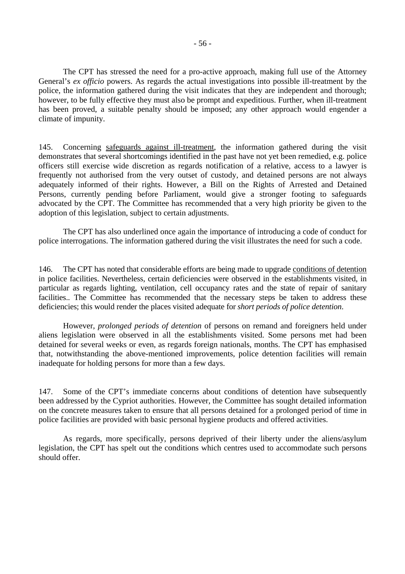The CPT has stressed the need for a pro-active approach, making full use of the Attorney General's *ex officio* powers. As regards the actual investigations into possible ill-treatment by the police, the information gathered during the visit indicates that they are independent and thorough; however, to be fully effective they must also be prompt and expeditious. Further, when ill-treatment has been proved, a suitable penalty should be imposed; any other approach would engender a climate of impunity.

145. Concerning safeguards against ill-treatment, the information gathered during the visit demonstrates that several shortcomings identified in the past have not yet been remedied, e.g. police officers still exercise wide discretion as regards notification of a relative, access to a lawyer is frequently not authorised from the very outset of custody, and detained persons are not always adequately informed of their rights. However, a Bill on the Rights of Arrested and Detained Persons, currently pending before Parliament, would give a stronger footing to safeguards advocated by the CPT. The Committee has recommended that a very high priority be given to the adoption of this legislation, subject to certain adjustments.

 The CPT has also underlined once again the importance of introducing a code of conduct for police interrogations. The information gathered during the visit illustrates the need for such a code.

146. The CPT has noted that considerable efforts are being made to upgrade conditions of detention in police facilities. Nevertheless, certain deficiencies were observed in the establishments visited, in particular as regards lighting, ventilation, cell occupancy rates and the state of repair of sanitary facilities.. The Committee has recommended that the necessary steps be taken to address these deficiencies; this would render the places visited adequate for *short periods of police detention*.

 However, *prolonged periods of detention* of persons on remand and foreigners held under aliens legislation were observed in all the establishments visited. Some persons met had been detained for several weeks or even, as regards foreign nationals, months. The CPT has emphasised that, notwithstanding the above-mentioned improvements, police detention facilities will remain inadequate for holding persons for more than a few days.

147. Some of the CPT's immediate concerns about conditions of detention have subsequently been addressed by the Cypriot authorities. However, the Committee has sought detailed information on the concrete measures taken to ensure that all persons detained for a prolonged period of time in police facilities are provided with basic personal hygiene products and offered activities.

 As regards, more specifically, persons deprived of their liberty under the aliens/asylum legislation, the CPT has spelt out the conditions which centres used to accommodate such persons should offer.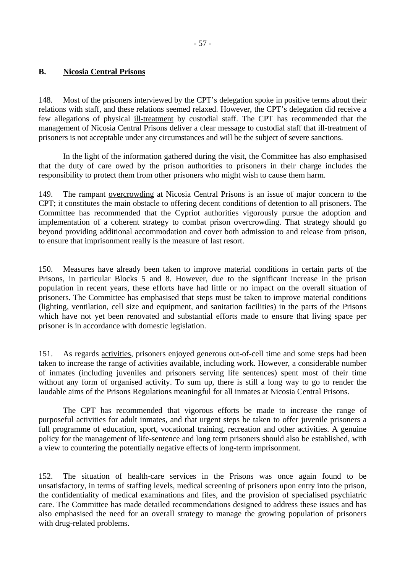# **B. Nicosia Central Prisons**

148. Most of the prisoners interviewed by the CPT's delegation spoke in positive terms about their relations with staff, and these relations seemed relaxed. However, the CPT's delegation did receive a few allegations of physical ill-treatment by custodial staff. The CPT has recommended that the management of Nicosia Central Prisons deliver a clear message to custodial staff that ill-treatment of prisoners is not acceptable under any circumstances and will be the subject of severe sanctions.

In the light of the information gathered during the visit, the Committee has also emphasised that the duty of care owed by the prison authorities to prisoners in their charge includes the responsibility to protect them from other prisoners who might wish to cause them harm.

149. The rampant overcrowding at Nicosia Central Prisons is an issue of major concern to the CPT; it constitutes the main obstacle to offering decent conditions of detention to all prisoners. The Committee has recommended that the Cypriot authorities vigorously pursue the adoption and implementation of a coherent strategy to combat prison overcrowding. That strategy should go beyond providing additional accommodation and cover both admission to and release from prison, to ensure that imprisonment really is the measure of last resort.

150. Measures have already been taken to improve material conditions in certain parts of the Prisons, in particular Blocks 5 and 8. However, due to the significant increase in the prison population in recent years, these efforts have had little or no impact on the overall situation of prisoners. The Committee has emphasised that steps must be taken to improve material conditions (lighting, ventilation, cell size and equipment, and sanitation facilities) in the parts of the Prisons which have not yet been renovated and substantial efforts made to ensure that living space per prisoner is in accordance with domestic legislation.

151. As regards activities, prisoners enjoyed generous out-of-cell time and some steps had been taken to increase the range of activities available, including work. However, a considerable number of inmates (including juveniles and prisoners serving life sentences) spent most of their time without any form of organised activity. To sum up, there is still a long way to go to render the laudable aims of the Prisons Regulations meaningful for all inmates at Nicosia Central Prisons.

 The CPT has recommended that vigorous efforts be made to increase the range of purposeful activities for adult inmates, and that urgent steps be taken to offer juvenile prisoners a full programme of education, sport, vocational training, recreation and other activities. A genuine policy for the management of life-sentence and long term prisoners should also be established, with a view to countering the potentially negative effects of long-term imprisonment.

152. The situation of health-care services in the Prisons was once again found to be unsatisfactory, in terms of staffing levels, medical screening of prisoners upon entry into the prison, the confidentiality of medical examinations and files, and the provision of specialised psychiatric care. The Committee has made detailed recommendations designed to address these issues and has also emphasised the need for an overall strategy to manage the growing population of prisoners with drug-related problems.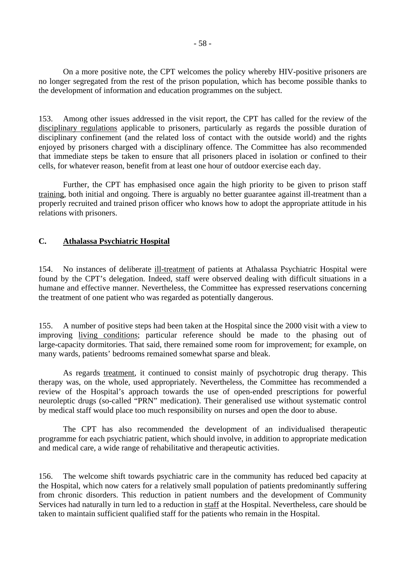On a more positive note, the CPT welcomes the policy whereby HIV-positive prisoners are no longer segregated from the rest of the prison population, which has become possible thanks to the development of information and education programmes on the subject.

153. Among other issues addressed in the visit report, the CPT has called for the review of the disciplinary regulations applicable to prisoners, particularly as regards the possible duration of disciplinary confinement (and the related loss of contact with the outside world) and the rights enjoyed by prisoners charged with a disciplinary offence. The Committee has also recommended that immediate steps be taken to ensure that all prisoners placed in isolation or confined to their cells, for whatever reason, benefit from at least one hour of outdoor exercise each day.

 Further, the CPT has emphasised once again the high priority to be given to prison staff training, both initial and ongoing. There is arguably no better guarantee against ill-treatment than a properly recruited and trained prison officer who knows how to adopt the appropriate attitude in his relations with prisoners.

# **C. Athalassa Psychiatric Hospital**

154. No instances of deliberate ill-treatment of patients at Athalassa Psychiatric Hospital were found by the CPT's delegation. Indeed, staff were observed dealing with difficult situations in a humane and effective manner. Nevertheless, the Committee has expressed reservations concerning the treatment of one patient who was regarded as potentially dangerous.

155. A number of positive steps had been taken at the Hospital since the 2000 visit with a view to improving living conditions; particular reference should be made to the phasing out of large-capacity dormitories. That said, there remained some room for improvement; for example, on many wards, patients' bedrooms remained somewhat sparse and bleak.

 As regards treatment, it continued to consist mainly of psychotropic drug therapy. This therapy was, on the whole, used appropriately. Nevertheless, the Committee has recommended a review of the Hospital's approach towards the use of open-ended prescriptions for powerful neuroleptic drugs (so-called "PRN" medication). Their generalised use without systematic control by medical staff would place too much responsibility on nurses and open the door to abuse.

 The CPT has also recommended the development of an individualised therapeutic programme for each psychiatric patient, which should involve, in addition to appropriate medication and medical care, a wide range of rehabilitative and therapeutic activities.

156. The welcome shift towards psychiatric care in the community has reduced bed capacity at the Hospital, which now caters for a relatively small population of patients predominantly suffering from chronic disorders. This reduction in patient numbers and the development of Community Services had naturally in turn led to a reduction in staff at the Hospital. Nevertheless, care should be taken to maintain sufficient qualified staff for the patients who remain in the Hospital.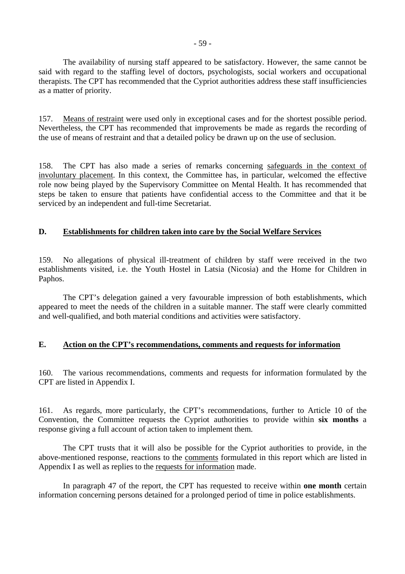The availability of nursing staff appeared to be satisfactory. However, the same cannot be said with regard to the staffing level of doctors, psychologists, social workers and occupational therapists. The CPT has recommended that the Cypriot authorities address these staff insufficiencies as a matter of priority.

157. Means of restraint were used only in exceptional cases and for the shortest possible period. Nevertheless, the CPT has recommended that improvements be made as regards the recording of the use of means of restraint and that a detailed policy be drawn up on the use of seclusion.

158. The CPT has also made a series of remarks concerning safeguards in the context of involuntary placement. In this context, the Committee has, in particular, welcomed the effective role now being played by the Supervisory Committee on Mental Health. It has recommended that steps be taken to ensure that patients have confidential access to the Committee and that it be serviced by an independent and full-time Secretariat.

# **D. Establishments for children taken into care by the Social Welfare Services**

159. No allegations of physical ill-treatment of children by staff were received in the two establishments visited, i.e. the Youth Hostel in Latsia (Nicosia) and the Home for Children in Paphos.

 The CPT's delegation gained a very favourable impression of both establishments, which appeared to meet the needs of the children in a suitable manner. The staff were clearly committed and well-qualified, and both material conditions and activities were satisfactory.

# **E. Action on the CPT's recommendations, comments and requests for information**

160. The various recommendations, comments and requests for information formulated by the CPT are listed in Appendix I.

161. As regards, more particularly, the CPT's recommendations, further to Article 10 of the Convention, the Committee requests the Cypriot authorities to provide within **six months** a response giving a full account of action taken to implement them.

 The CPT trusts that it will also be possible for the Cypriot authorities to provide, in the above-mentioned response, reactions to the comments formulated in this report which are listed in Appendix I as well as replies to the requests for information made.

 In paragraph 47 of the report, the CPT has requested to receive within **one month** certain information concerning persons detained for a prolonged period of time in police establishments.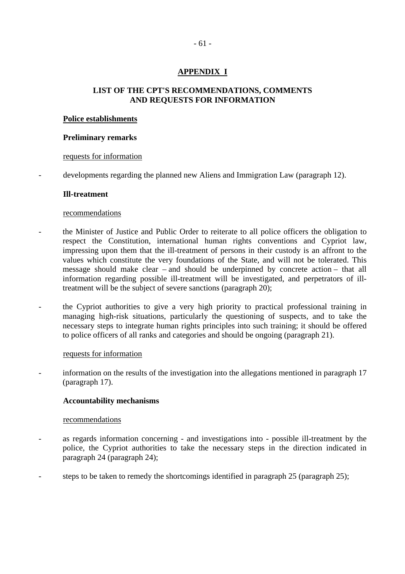# **APPENDIX I**

# **LIST OF THE CPT'S RECOMMENDATIONS, COMMENTS AND REQUESTS FOR INFORMATION**

### **Police establishments**

#### **Preliminary remarks**

### requests for information

developments regarding the planned new Aliens and Immigration Law (paragraph 12).

#### **Ill-treatment**

#### recommendations

- the Minister of Justice and Public Order to reiterate to all police officers the obligation to respect the Constitution, international human rights conventions and Cypriot law, impressing upon them that the ill-treatment of persons in their custody is an affront to the values which constitute the very foundations of the State, and will not be tolerated. This message should make clear – and should be underpinned by concrete action – that all information regarding possible ill-treatment will be investigated, and perpetrators of illtreatment will be the subject of severe sanctions (paragraph 20);
- the Cypriot authorities to give a very high priority to practical professional training in managing high-risk situations, particularly the questioning of suspects, and to take the necessary steps to integrate human rights principles into such training; it should be offered to police officers of all ranks and categories and should be ongoing (paragraph 21).

#### requests for information

- information on the results of the investigation into the allegations mentioned in paragraph 17 (paragraph 17).

## **Accountability mechanisms**

- as regards information concerning and investigations into possible ill-treatment by the police, the Cypriot authorities to take the necessary steps in the direction indicated in paragraph 24 (paragraph 24);
- steps to be taken to remedy the shortcomings identified in paragraph 25 (paragraph 25);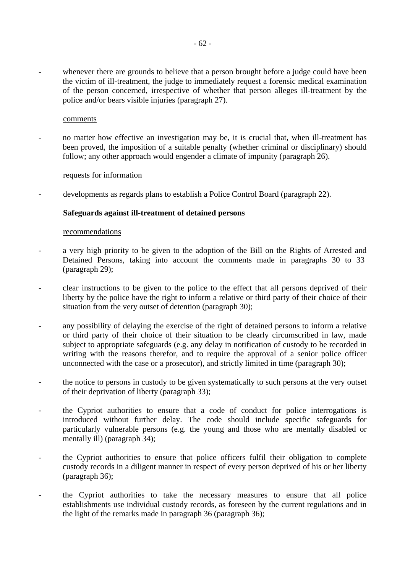whenever there are grounds to believe that a person brought before a judge could have been the victim of ill-treatment, the judge to immediately request a forensic medical examination of the person concerned, irrespective of whether that person alleges ill-treatment by the police and/or bears visible injuries (paragraph 27).

#### comments

no matter how effective an investigation may be, it is crucial that, when ill-treatment has been proved, the imposition of a suitable penalty (whether criminal or disciplinary) should follow; any other approach would engender a climate of impunity (paragraph 26).

#### requests for information

developments as regards plans to establish a Police Control Board (paragraph 22).

### **Safeguards against ill-treatment of detained persons**

- a very high priority to be given to the adoption of the Bill on the Rights of Arrested and Detained Persons, taking into account the comments made in paragraphs 30 to 33 (paragraph 29);
- clear instructions to be given to the police to the effect that all persons deprived of their liberty by the police have the right to inform a relative or third party of their choice of their situation from the very outset of detention (paragraph 30);
- any possibility of delaying the exercise of the right of detained persons to inform a relative or third party of their choice of their situation to be clearly circumscribed in law, made subject to appropriate safeguards (e.g. any delay in notification of custody to be recorded in writing with the reasons therefor, and to require the approval of a senior police officer unconnected with the case or a prosecutor), and strictly limited in time (paragraph 30);
- the notice to persons in custody to be given systematically to such persons at the very outset of their deprivation of liberty (paragraph 33);
- the Cypriot authorities to ensure that a code of conduct for police interrogations is introduced without further delay. The code should include specific safeguards for particularly vulnerable persons (e.g. the young and those who are mentally disabled or mentally ill) (paragraph 34);
- the Cypriot authorities to ensure that police officers fulfil their obligation to complete custody records in a diligent manner in respect of every person deprived of his or her liberty (paragraph 36);
- the Cypriot authorities to take the necessary measures to ensure that all police establishments use individual custody records, as foreseen by the current regulations and in the light of the remarks made in paragraph 36 (paragraph 36);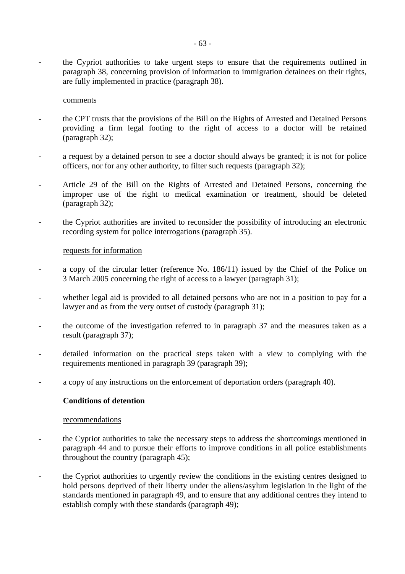- the Cypriot authorities to take urgent steps to ensure that the requirements outlined in paragraph 38, concerning provision of information to immigration detainees on their rights, are fully implemented in practice (paragraph 38).

#### comments

- the CPT trusts that the provisions of the Bill on the Rights of Arrested and Detained Persons providing a firm legal footing to the right of access to a doctor will be retained (paragraph 32);
- a request by a detained person to see a doctor should always be granted; it is not for police officers, nor for any other authority, to filter such requests (paragraph 32);
- Article 29 of the Bill on the Rights of Arrested and Detained Persons, concerning the improper use of the right to medical examination or treatment, should be deleted (paragraph 32);
- the Cypriot authorities are invited to reconsider the possibility of introducing an electronic recording system for police interrogations (paragraph 35).

#### requests for information

- a copy of the circular letter (reference No.  $186/11$ ) issued by the Chief of the Police on 3 March 2005 concerning the right of access to a lawyer (paragraph 31);
- whether legal aid is provided to all detained persons who are not in a position to pay for a lawyer and as from the very outset of custody (paragraph 31);
- the outcome of the investigation referred to in paragraph 37 and the measures taken as a result (paragraph 37);
- detailed information on the practical steps taken with a view to complying with the requirements mentioned in paragraph 39 (paragraph 39);
- a copy of any instructions on the enforcement of deportation orders (paragraph 40).

### **Conditions of detention**

- the Cypriot authorities to take the necessary steps to address the shortcomings mentioned in paragraph 44 and to pursue their efforts to improve conditions in all police establishments throughout the country (paragraph 45);
- the Cypriot authorities to urgently review the conditions in the existing centres designed to hold persons deprived of their liberty under the aliens/asylum legislation in the light of the standards mentioned in paragraph 49, and to ensure that any additional centres they intend to establish comply with these standards (paragraph 49);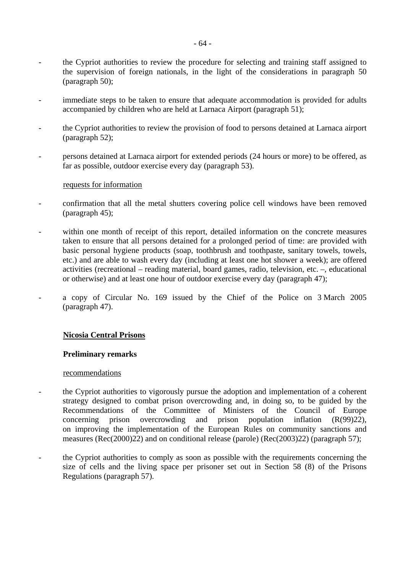- the Cypriot authorities to review the procedure for selecting and training staff assigned to the supervision of foreign nationals, in the light of the considerations in paragraph 50 (paragraph 50);
- immediate steps to be taken to ensure that adequate accommodation is provided for adults accompanied by children who are held at Larnaca Airport (paragraph 51);
- the Cypriot authorities to review the provision of food to persons detained at Larnaca airport (paragraph 52);
- persons detained at Larnaca airport for extended periods (24 hours or more) to be offered, as far as possible, outdoor exercise every day (paragraph 53).

#### requests for information

- confirmation that all the metal shutters covering police cell windows have been removed (paragraph 45);
- within one month of receipt of this report, detailed information on the concrete measures taken to ensure that all persons detained for a prolonged period of time: are provided with basic personal hygiene products (soap, toothbrush and toothpaste, sanitary towels, towels, etc.) and are able to wash every day (including at least one hot shower a week); are offered activities (recreational – reading material, board games, radio, television, etc. –, educational or otherwise) and at least one hour of outdoor exercise every day (paragraph 47);
- a copy of Circular No. 169 issued by the Chief of the Police on 3 March 2005 (paragraph 47).

## **Nicosia Central Prisons**

## **Preliminary remarks**

- the Cypriot authorities to vigorously pursue the adoption and implementation of a coherent strategy designed to combat prison overcrowding and, in doing so, to be guided by the Recommendations of the Committee of Ministers of the Council of Europe concerning prison overcrowding and prison population inflation  $(R(99)22)$ , on improving the implementation of the European Rules on community sanctions and measures (Rec(2000)22) and on conditional release (parole) (Rec(2003)22) (paragraph 57);
- the Cypriot authorities to comply as soon as possible with the requirements concerning the size of cells and the living space per prisoner set out in Section 58 (8) of the Prisons Regulations (paragraph 57).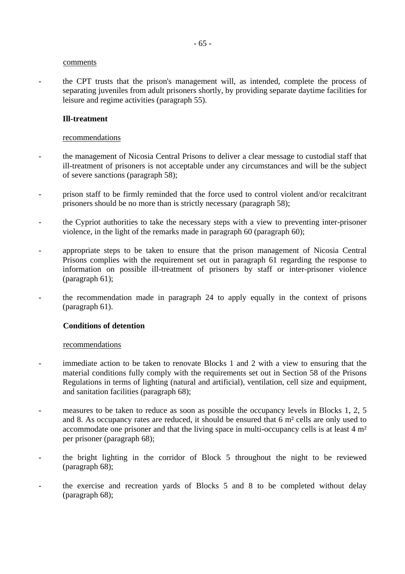#### comments

- the CPT trusts that the prison's management will, as intended, complete the process of separating juveniles from adult prisoners shortly, by providing separate daytime facilities for leisure and regime activities (paragraph 55).

## **Ill-treatment**

### recommendations

- the management of Nicosia Central Prisons to deliver a clear message to custodial staff that ill-treatment of prisoners is not acceptable under any circumstances and will be the subject of severe sanctions (paragraph 58);
- prison staff to be firmly reminded that the force used to control violent and/or recalcitrant prisoners should be no more than is strictly necessary (paragraph 58);
- the Cypriot authorities to take the necessary steps with a view to preventing inter-prisoner violence, in the light of the remarks made in paragraph 60 (paragraph 60);
- appropriate steps to be taken to ensure that the prison management of Nicosia Central Prisons complies with the requirement set out in paragraph 61 regarding the response to information on possible ill-treatment of prisoners by staff or inter-prisoner violence (paragraph 61);
- the recommendation made in paragraph 24 to apply equally in the context of prisons (paragraph 61).

## **Conditions of detention**

- immediate action to be taken to renovate Blocks 1 and 2 with a view to ensuring that the material conditions fully comply with the requirements set out in Section 58 of the Prisons Regulations in terms of lighting (natural and artificial), ventilation, cell size and equipment, and sanitation facilities (paragraph 68);
- measures to be taken to reduce as soon as possible the occupancy levels in Blocks 1, 2, 5 and 8. As occupancy rates are reduced, it should be ensured that 6 m² cells are only used to accommodate one prisoner and that the living space in multi-occupancy cells is at least 4 m² per prisoner (paragraph 68);
- the bright lighting in the corridor of Block 5 throughout the night to be reviewed (paragraph 68);
- the exercise and recreation yards of Blocks 5 and 8 to be completed without delay (paragraph 68);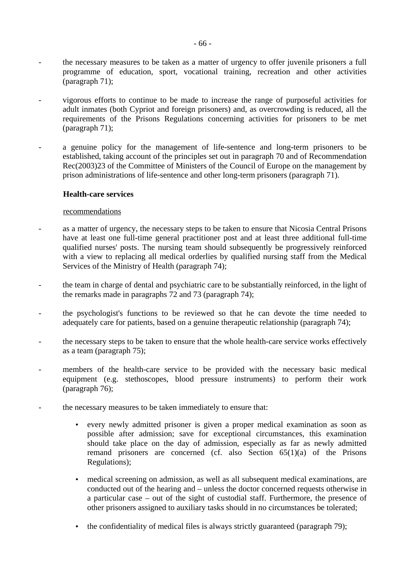- the necessary measures to be taken as a matter of urgency to offer juvenile prisoners a full programme of education, sport, vocational training, recreation and other activities (paragraph 71);
- vigorous efforts to continue to be made to increase the range of purposeful activities for adult inmates (both Cypriot and foreign prisoners) and, as overcrowding is reduced, all the requirements of the Prisons Regulations concerning activities for prisoners to be met (paragraph 71);
- a genuine policy for the management of life-sentence and long-term prisoners to be established, taking account of the principles set out in paragraph 70 and of Recommendation Rec(2003)23 of the Committee of Ministers of the Council of Europe on the management by prison administrations of life-sentence and other long-term prisoners (paragraph 71).

#### **Health-care services**

- as a matter of urgency, the necessary steps to be taken to ensure that Nicosia Central Prisons have at least one full-time general practitioner post and at least three additional full-time qualified nurses' posts. The nursing team should subsequently be progressively reinforced with a view to replacing all medical orderlies by qualified nursing staff from the Medical Services of the Ministry of Health (paragraph 74);
- the team in charge of dental and psychiatric care to be substantially reinforced, in the light of the remarks made in paragraphs 72 and 73 (paragraph 74);
- the psychologist's functions to be reviewed so that he can devote the time needed to adequately care for patients, based on a genuine therapeutic relationship (paragraph 74);
- the necessary steps to be taken to ensure that the whole health-care service works effectively as a team (paragraph 75);
- members of the health-care service to be provided with the necessary basic medical equipment (e.g. stethoscopes, blood pressure instruments) to perform their work (paragraph 76);
- the necessary measures to be taken immediately to ensure that:
	- every newly admitted prisoner is given a proper medical examination as soon as possible after admission; save for exceptional circumstances, this examination should take place on the day of admission, especially as far as newly admitted remand prisoners are concerned (cf. also Section 65(1)(a) of the Prisons Regulations);
	- medical screening on admission, as well as all subsequent medical examinations, are conducted out of the hearing and – unless the doctor concerned requests otherwise in a particular case – out of the sight of custodial staff. Furthermore, the presence of other prisoners assigned to auxiliary tasks should in no circumstances be tolerated;
	- the confidentiality of medical files is always strictly guaranteed (paragraph 79);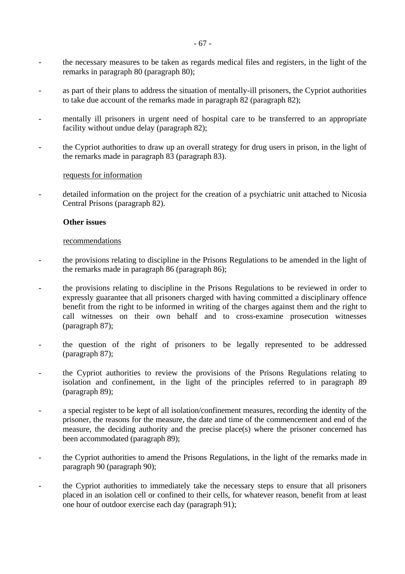- the necessary measures to be taken as regards medical files and registers, in the light of the remarks in paragraph 80 (paragraph 80);
- as part of their plans to address the situation of mentally-ill prisoners, the Cypriot authorities to take due account of the remarks made in paragraph 82 (paragraph 82);
- mentally ill prisoners in urgent need of hospital care to be transferred to an appropriate facility without undue delay (paragraph 82);
- the Cypriot authorities to draw up an overall strategy for drug users in prison, in the light of the remarks made in paragraph 83 (paragraph 83).

### requests for information

detailed information on the project for the creation of a psychiatric unit attached to Nicosia Central Prisons (paragraph 82).

### **Other issues**

- the provisions relating to discipline in the Prisons Regulations to be amended in the light of the remarks made in paragraph 86 (paragraph 86);
- the provisions relating to discipline in the Prisons Regulations to be reviewed in order to expressly guarantee that all prisoners charged with having committed a disciplinary offence benefit from the right to be informed in writing of the charges against them and the right to call witnesses on their own behalf and to cross-examine prosecution witnesses (paragraph 87);
- the question of the right of prisoners to be legally represented to be addressed (paragraph 87);
- the Cypriot authorities to review the provisions of the Prisons Regulations relating to isolation and confinement, in the light of the principles referred to in paragraph 89 (paragraph 89);
- a special register to be kept of all isolation/confinement measures, recording the identity of the prisoner, the reasons for the measure, the date and time of the commencement and end of the measure, the deciding authority and the precise place(s) where the prisoner concerned has been accommodated (paragraph 89);
- the Cypriot authorities to amend the Prisons Regulations, in the light of the remarks made in paragraph 90 (paragraph 90);
- the Cypriot authorities to immediately take the necessary steps to ensure that all prisoners placed in an isolation cell or confined to their cells, for whatever reason, benefit from at least one hour of outdoor exercise each day (paragraph 91);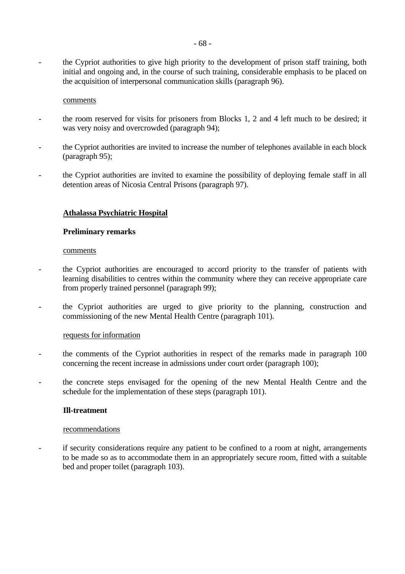- the Cypriot authorities to give high priority to the development of prison staff training, both initial and ongoing and, in the course of such training, considerable emphasis to be placed on the acquisition of interpersonal communication skills (paragraph 96).

#### comments

- the room reserved for visits for prisoners from Blocks 1, 2 and 4 left much to be desired; it was very noisy and overcrowded (paragraph 94);
- the Cypriot authorities are invited to increase the number of telephones available in each block (paragraph 95);
- the Cypriot authorities are invited to examine the possibility of deploying female staff in all detention areas of Nicosia Central Prisons (paragraph 97).

### **Athalassa Psychiatric Hospital**

#### **Preliminary remarks**

#### comments

- the Cypriot authorities are encouraged to accord priority to the transfer of patients with learning disabilities to centres within the community where they can receive appropriate care from properly trained personnel (paragraph 99);
- the Cypriot authorities are urged to give priority to the planning, construction and commissioning of the new Mental Health Centre (paragraph 101).

#### requests for information

- the comments of the Cypriot authorities in respect of the remarks made in paragraph 100 concerning the recent increase in admissions under court order (paragraph 100);
- the concrete steps envisaged for the opening of the new Mental Health Centre and the schedule for the implementation of these steps (paragraph 101).

#### **Ill-treatment**

#### recommendations

- if security considerations require any patient to be confined to a room at night, arrangements to be made so as to accommodate them in an appropriately secure room, fitted with a suitable bed and proper toilet (paragraph 103).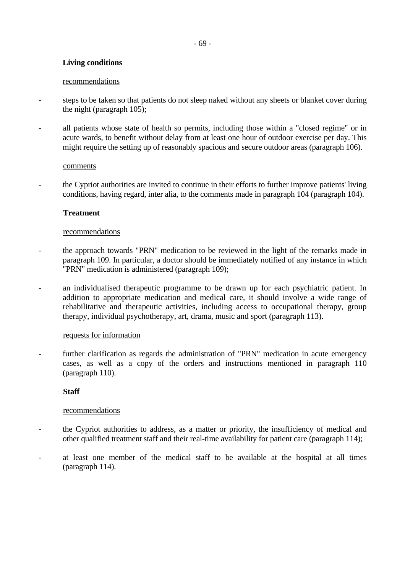# **Living conditions**

### recommendations

- steps to be taken so that patients do not sleep naked without any sheets or blanket cover during the night (paragraph 105);
- all patients whose state of health so permits, including those within a "closed regime" or in acute wards, to benefit without delay from at least one hour of outdoor exercise per day. This might require the setting up of reasonably spacious and secure outdoor areas (paragraph 106).

## comments

- the Cypriot authorities are invited to continue in their efforts to further improve patients' living conditions, having regard, inter alia, to the comments made in paragraph 104 (paragraph 104).

# **Treatment**

## recommendations

- the approach towards "PRN" medication to be reviewed in the light of the remarks made in paragraph 109. In particular, a doctor should be immediately notified of any instance in which "PRN" medication is administered (paragraph 109);
- an individualised therapeutic programme to be drawn up for each psychiatric patient. In addition to appropriate medication and medical care, it should involve a wide range of rehabilitative and therapeutic activities, including access to occupational therapy, group therapy, individual psychotherapy, art, drama, music and sport (paragraph 113).

## requests for information

further clarification as regards the administration of "PRN" medication in acute emergency cases, as well as a copy of the orders and instructions mentioned in paragraph 110 (paragraph 110).

## **Staff**

- the Cypriot authorities to address, as a matter or priority, the insufficiency of medical and other qualified treatment staff and their real-time availability for patient care (paragraph 114);
- at least one member of the medical staff to be available at the hospital at all times (paragraph 114).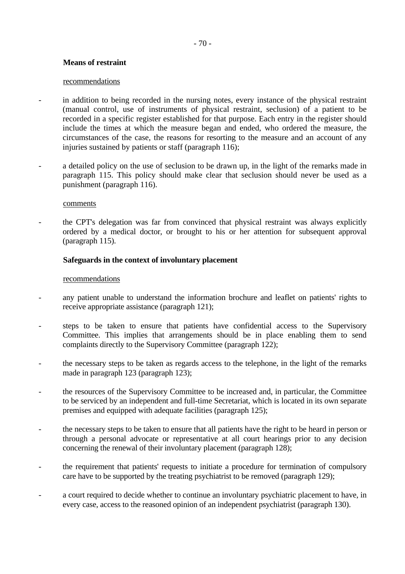## **Means of restraint**

#### recommendations

- in addition to being recorded in the nursing notes, every instance of the physical restraint (manual control, use of instruments of physical restraint, seclusion) of a patient to be recorded in a specific register established for that purpose. Each entry in the register should include the times at which the measure began and ended, who ordered the measure, the circumstances of the case, the reasons for resorting to the measure and an account of any injuries sustained by patients or staff (paragraph 116);
- a detailed policy on the use of seclusion to be drawn up, in the light of the remarks made in paragraph 115. This policy should make clear that seclusion should never be used as a punishment (paragraph 116).

#### comments

the CPT's delegation was far from convinced that physical restraint was always explicitly ordered by a medical doctor, or brought to his or her attention for subsequent approval (paragraph 115).

### **Safeguards in the context of involuntary placement**

- any patient unable to understand the information brochure and leaflet on patients' rights to receive appropriate assistance (paragraph 121);
- steps to be taken to ensure that patients have confidential access to the Supervisory Committee. This implies that arrangements should be in place enabling them to send complaints directly to the Supervisory Committee (paragraph 122);
- the necessary steps to be taken as regards access to the telephone, in the light of the remarks made in paragraph 123 (paragraph 123);
- the resources of the Supervisory Committee to be increased and, in particular, the Committee to be serviced by an independent and full-time Secretariat, which is located in its own separate premises and equipped with adequate facilities (paragraph 125);
- the necessary steps to be taken to ensure that all patients have the right to be heard in person or through a personal advocate or representative at all court hearings prior to any decision concerning the renewal of their involuntary placement (paragraph 128);
- the requirement that patients' requests to initiate a procedure for termination of compulsory care have to be supported by the treating psychiatrist to be removed (paragraph 129);
- a court required to decide whether to continue an involuntary psychiatric placement to have, in every case, access to the reasoned opinion of an independent psychiatrist (paragraph 130).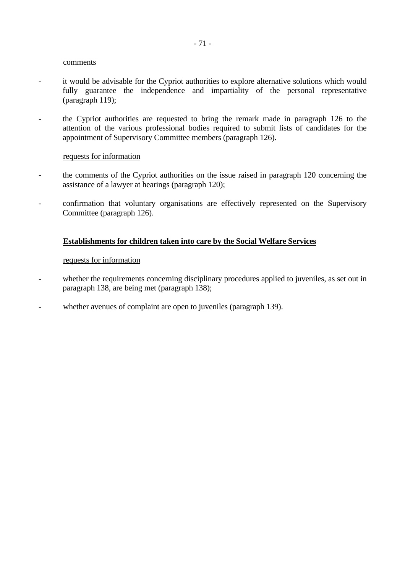#### comments

- it would be advisable for the Cypriot authorities to explore alternative solutions which would fully guarantee the independence and impartiality of the personal representative (paragraph 119);
- the Cypriot authorities are requested to bring the remark made in paragraph 126 to the attention of the various professional bodies required to submit lists of candidates for the appointment of Supervisory Committee members (paragraph 126).

#### requests for information

- the comments of the Cypriot authorities on the issue raised in paragraph 120 concerning the assistance of a lawyer at hearings (paragraph 120);
- confirmation that voluntary organisations are effectively represented on the Supervisory Committee (paragraph 126).

### **Establishments for children taken into care by the Social Welfare Services**

#### requests for information

- whether the requirements concerning disciplinary procedures applied to juveniles, as set out in paragraph 138, are being met (paragraph 138);
- whether avenues of complaint are open to juveniles (paragraph 139).